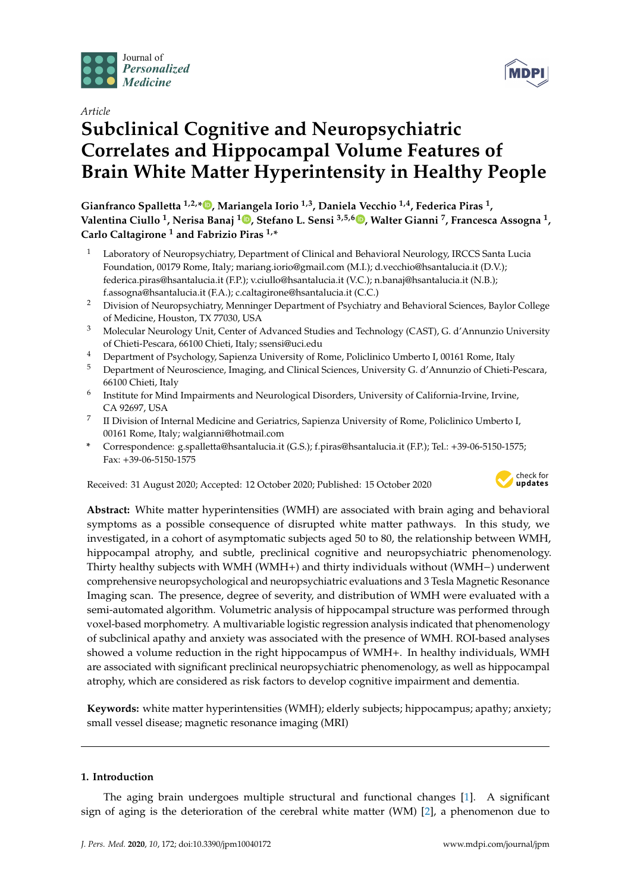

# *Article*

# **Subclinical Cognitive and Neuropsychiatric Correlates and Hippocampal Volume Features of Brain White Matter Hyperintensity in Healthy People**

**Gianfranco Spalletta 1,2,[\\*](https://orcid.org/0000-0002-7432-4249) , Mariangela Iorio 1,3, Daniela Vecchio 1,4, Federica Piras <sup>1</sup> , Valentina Ciullo <sup>1</sup> , Nerisa Banaj <sup>1</sup> [,](https://orcid.org/0000-0002-6317-8549) Stefano L. Sensi 3,5,6 [,](https://orcid.org/0000-0002-0710-2574) Walter Gianni <sup>7</sup> , Francesca Assogna <sup>1</sup> , Carlo Caltagirone <sup>1</sup> and Fabrizio Piras 1,\***

- <sup>1</sup> Laboratory of Neuropsychiatry, Department of Clinical and Behavioral Neurology, IRCCS Santa Lucia Foundation, 00179 Rome, Italy; mariang.iorio@gmail.com (M.I.); d.vecchio@hsantalucia.it (D.V.); federica.piras@hsantalucia.it (F.P.); v.ciullo@hsantalucia.it (V.C.); n.banaj@hsantalucia.it (N.B.); f.assogna@hsantalucia.it (F.A.); c.caltagirone@hsantalucia.it (C.C.)
- <sup>2</sup> Division of Neuropsychiatry, Menninger Department of Psychiatry and Behavioral Sciences, Baylor College of Medicine, Houston, TX 77030, USA
- <sup>3</sup> Molecular Neurology Unit, Center of Advanced Studies and Technology (CAST), G. d'Annunzio University of Chieti-Pescara, 66100 Chieti, Italy; ssensi@uci.edu
- <sup>4</sup> Department of Psychology, Sapienza University of Rome, Policlinico Umberto I, 00161 Rome, Italy
- <sup>5</sup> Department of Neuroscience, Imaging, and Clinical Sciences, University G. d'Annunzio of Chieti-Pescara, 66100 Chieti, Italy
- 6 Institute for Mind Impairments and Neurological Disorders, University of California-Irvine, Irvine, CA 92697, USA
- $^7$   $\;$  II Division of Internal Medicine and Geriatrics, Sapienza University of Rome, Policlinico Umberto I, 00161 Rome, Italy; walgianni@hotmail.com
- **\*** Correspondence: g.spalletta@hsantalucia.it (G.S.); f.piras@hsantalucia.it (F.P.); Tel.: +39-06-5150-1575; Fax: +39-06-5150-1575

Received: 31 August 2020; Accepted: 12 October 2020; Published: 15 October 2020



**Abstract:** White matter hyperintensities (WMH) are associated with brain aging and behavioral symptoms as a possible consequence of disrupted white matter pathways. In this study, we investigated, in a cohort of asymptomatic subjects aged 50 to 80, the relationship between WMH, hippocampal atrophy, and subtle, preclinical cognitive and neuropsychiatric phenomenology. Thirty healthy subjects with WMH (WMH+) and thirty individuals without (WMH−) underwent comprehensive neuropsychological and neuropsychiatric evaluations and 3 Tesla Magnetic Resonance Imaging scan. The presence, degree of severity, and distribution of WMH were evaluated with a semi-automated algorithm. Volumetric analysis of hippocampal structure was performed through voxel-based morphometry. A multivariable logistic regression analysis indicated that phenomenology of subclinical apathy and anxiety was associated with the presence of WMH. ROI-based analyses showed a volume reduction in the right hippocampus of WMH+. In healthy individuals, WMH are associated with significant preclinical neuropsychiatric phenomenology, as well as hippocampal atrophy, which are considered as risk factors to develop cognitive impairment and dementia.

**Keywords:** white matter hyperintensities (WMH); elderly subjects; hippocampus; apathy; anxiety; small vessel disease; magnetic resonance imaging (MRI)

# **1. Introduction**

The aging brain undergoes multiple structural and functional changes [\[1\]](#page-11-0). A significant sign of aging is the deterioration of the cerebral white matter (WM) [\[2\]](#page-11-1), a phenomenon due to

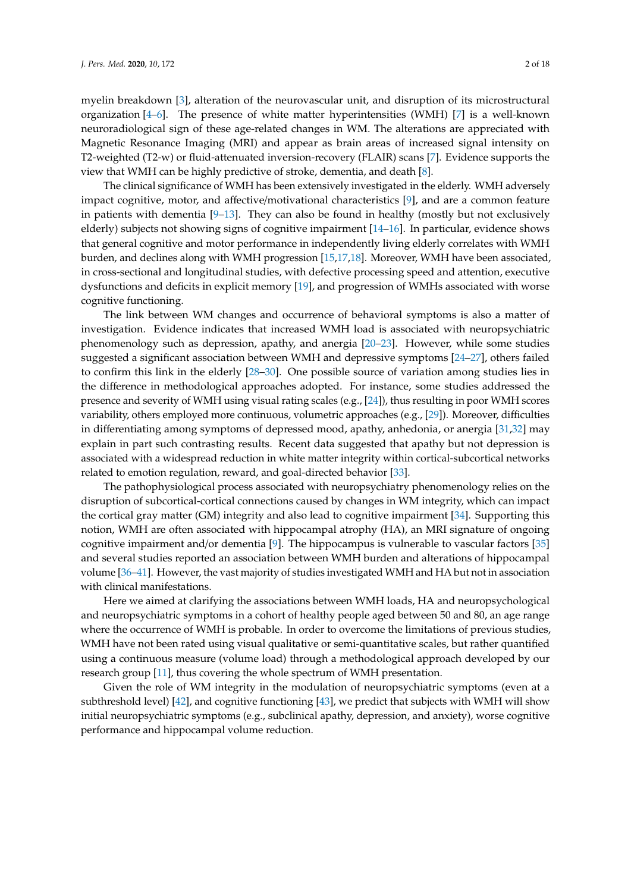myelin breakdown [\[3\]](#page-12-0), alteration of the neurovascular unit, and disruption of its microstructural organization [\[4](#page-12-1)[–6\]](#page-12-2). The presence of white matter hyperintensities (WMH) [\[7\]](#page-12-3) is a well-known neuroradiological sign of these age-related changes in WM. The alterations are appreciated with Magnetic Resonance Imaging (MRI) and appear as brain areas of increased signal intensity on T2-weighted (T2-w) or fluid-attenuated inversion-recovery (FLAIR) scans [\[7\]](#page-12-3). Evidence supports the view that WMH can be highly predictive of stroke, dementia, and death [\[8\]](#page-12-4).

The clinical significance of WMH has been extensively investigated in the elderly. WMH adversely impact cognitive, motor, and affective/motivational characteristics [\[9\]](#page-12-5), and are a common feature in patients with dementia  $[9-13]$  $[9-13]$ . They can also be found in healthy (mostly but not exclusively elderly) subjects not showing signs of cognitive impairment [\[14–](#page-12-7)[16\]](#page-12-8). In particular, evidence shows that general cognitive and motor performance in independently living elderly correlates with WMH burden, and declines along with WMH progression [\[15](#page-12-9)[,17,](#page-12-10)[18\]](#page-12-11). Moreover, WMH have been associated, in cross-sectional and longitudinal studies, with defective processing speed and attention, executive dysfunctions and deficits in explicit memory [\[19\]](#page-12-12), and progression of WMHs associated with worse cognitive functioning.

The link between WM changes and occurrence of behavioral symptoms is also a matter of investigation. Evidence indicates that increased WMH load is associated with neuropsychiatric phenomenology such as depression, apathy, and anergia [\[20](#page-12-13)[–23\]](#page-12-14). However, while some studies suggested a significant association between WMH and depressive symptoms [\[24](#page-13-0)[–27\]](#page-13-1), others failed to confirm this link in the elderly [\[28–](#page-13-2)[30\]](#page-13-3). One possible source of variation among studies lies in the difference in methodological approaches adopted. For instance, some studies addressed the presence and severity of WMH using visual rating scales (e.g., [\[24\]](#page-13-0)), thus resulting in poor WMH scores variability, others employed more continuous, volumetric approaches (e.g., [\[29\]](#page-13-4)). Moreover, difficulties in differentiating among symptoms of depressed mood, apathy, anhedonia, or anergia [\[31](#page-13-5)[,32\]](#page-13-6) may explain in part such contrasting results. Recent data suggested that apathy but not depression is associated with a widespread reduction in white matter integrity within cortical-subcortical networks related to emotion regulation, reward, and goal-directed behavior [\[33\]](#page-13-7).

The pathophysiological process associated with neuropsychiatry phenomenology relies on the disruption of subcortical-cortical connections caused by changes in WM integrity, which can impact the cortical gray matter (GM) integrity and also lead to cognitive impairment [\[34\]](#page-13-8). Supporting this notion, WMH are often associated with hippocampal atrophy (HA), an MRI signature of ongoing cognitive impairment and/or dementia [\[9\]](#page-12-5). The hippocampus is vulnerable to vascular factors [\[35\]](#page-13-9) and several studies reported an association between WMH burden and alterations of hippocampal volume [\[36](#page-13-10)[–41\]](#page-14-0). However, the vast majority of studies investigated WMH and HA but not in association with clinical manifestations.

Here we aimed at clarifying the associations between WMH loads, HA and neuropsychological and neuropsychiatric symptoms in a cohort of healthy people aged between 50 and 80, an age range where the occurrence of WMH is probable. In order to overcome the limitations of previous studies, WMH have not been rated using visual qualitative or semi-quantitative scales, but rather quantified using a continuous measure (volume load) through a methodological approach developed by our research group [\[11\]](#page-12-15), thus covering the whole spectrum of WMH presentation.

Given the role of WM integrity in the modulation of neuropsychiatric symptoms (even at a subthreshold level) [\[42\]](#page-14-1), and cognitive functioning [\[43\]](#page-14-2), we predict that subjects with WMH will show initial neuropsychiatric symptoms (e.g., subclinical apathy, depression, and anxiety), worse cognitive performance and hippocampal volume reduction.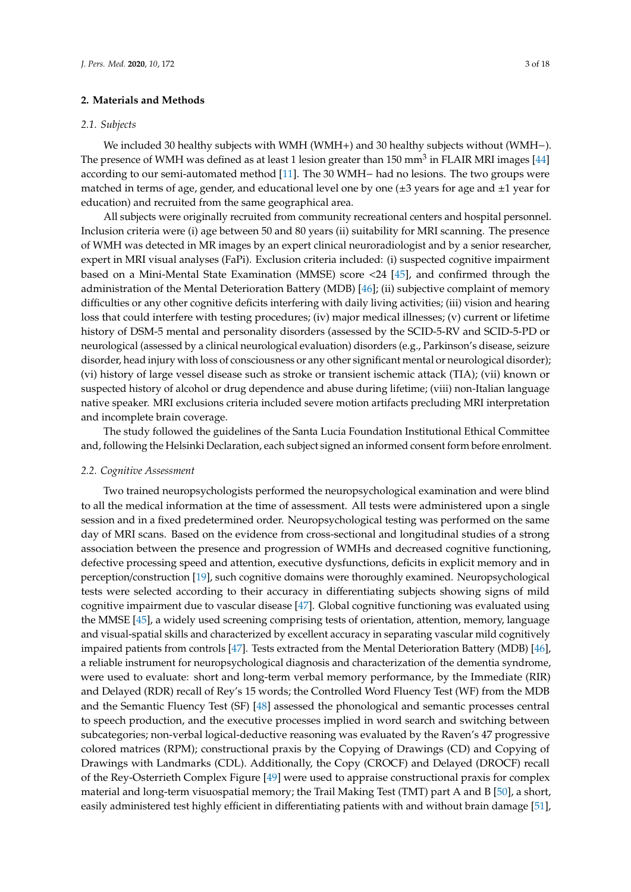## **2. Materials and Methods**

#### *2.1. Subjects*

We included 30 healthy subjects with WMH (WMH+) and 30 healthy subjects without (WMH−). The presence of WMH was defined as at least 1 lesion greater than 150 mm $^3$  in FLAIR MRI images [\[44\]](#page-14-3) according to our semi-automated method [\[11\]](#page-12-15). The 30 WMH− had no lesions. The two groups were matched in terms of age, gender, and educational level one by one  $(\pm 3$  years for age and  $\pm 1$  year for education) and recruited from the same geographical area.

All subjects were originally recruited from community recreational centers and hospital personnel. Inclusion criteria were (i) age between 50 and 80 years (ii) suitability for MRI scanning. The presence of WMH was detected in MR images by an expert clinical neuroradiologist and by a senior researcher, expert in MRI visual analyses (FaPi). Exclusion criteria included: (i) suspected cognitive impairment based on a Mini-Mental State Examination (MMSE) score <24 [\[45\]](#page-14-4), and confirmed through the administration of the Mental Deterioration Battery (MDB) [\[46\]](#page-14-5); (ii) subjective complaint of memory difficulties or any other cognitive deficits interfering with daily living activities; (iii) vision and hearing loss that could interfere with testing procedures; (iv) major medical illnesses; (v) current or lifetime history of DSM-5 mental and personality disorders (assessed by the SCID-5-RV and SCID-5-PD or neurological (assessed by a clinical neurological evaluation) disorders (e.g., Parkinson's disease, seizure disorder, head injury with loss of consciousness or any other significant mental or neurological disorder); (vi) history of large vessel disease such as stroke or transient ischemic attack (TIA); (vii) known or suspected history of alcohol or drug dependence and abuse during lifetime; (viii) non-Italian language native speaker. MRI exclusions criteria included severe motion artifacts precluding MRI interpretation and incomplete brain coverage.

The study followed the guidelines of the Santa Lucia Foundation Institutional Ethical Committee and, following the Helsinki Declaration, each subject signed an informed consent form before enrolment.

#### *2.2. Cognitive Assessment*

Two trained neuropsychologists performed the neuropsychological examination and were blind to all the medical information at the time of assessment. All tests were administered upon a single session and in a fixed predetermined order. Neuropsychological testing was performed on the same day of MRI scans. Based on the evidence from cross-sectional and longitudinal studies of a strong association between the presence and progression of WMHs and decreased cognitive functioning, defective processing speed and attention, executive dysfunctions, deficits in explicit memory and in perception/construction [\[19\]](#page-12-12), such cognitive domains were thoroughly examined. Neuropsychological tests were selected according to their accuracy in differentiating subjects showing signs of mild cognitive impairment due to vascular disease [\[47\]](#page-14-6). Global cognitive functioning was evaluated using the MMSE [\[45\]](#page-14-4), a widely used screening comprising tests of orientation, attention, memory, language and visual-spatial skills and characterized by excellent accuracy in separating vascular mild cognitively impaired patients from controls [\[47\]](#page-14-6). Tests extracted from the Mental Deterioration Battery (MDB) [\[46\]](#page-14-5), a reliable instrument for neuropsychological diagnosis and characterization of the dementia syndrome, were used to evaluate: short and long-term verbal memory performance, by the Immediate (RIR) and Delayed (RDR) recall of Rey's 15 words; the Controlled Word Fluency Test (WF) from the MDB and the Semantic Fluency Test (SF) [\[48\]](#page-14-7) assessed the phonological and semantic processes central to speech production, and the executive processes implied in word search and switching between subcategories; non-verbal logical-deductive reasoning was evaluated by the Raven's 47 progressive colored matrices (RPM); constructional praxis by the Copying of Drawings (CD) and Copying of Drawings with Landmarks (CDL). Additionally, the Copy (CROCF) and Delayed (DROCF) recall of the Rey-Osterrieth Complex Figure [\[49\]](#page-14-8) were used to appraise constructional praxis for complex material and long-term visuospatial memory; the Trail Making Test (TMT) part A and B [\[50\]](#page-14-9), a short, easily administered test highly efficient in differentiating patients with and without brain damage [\[51\]](#page-14-10),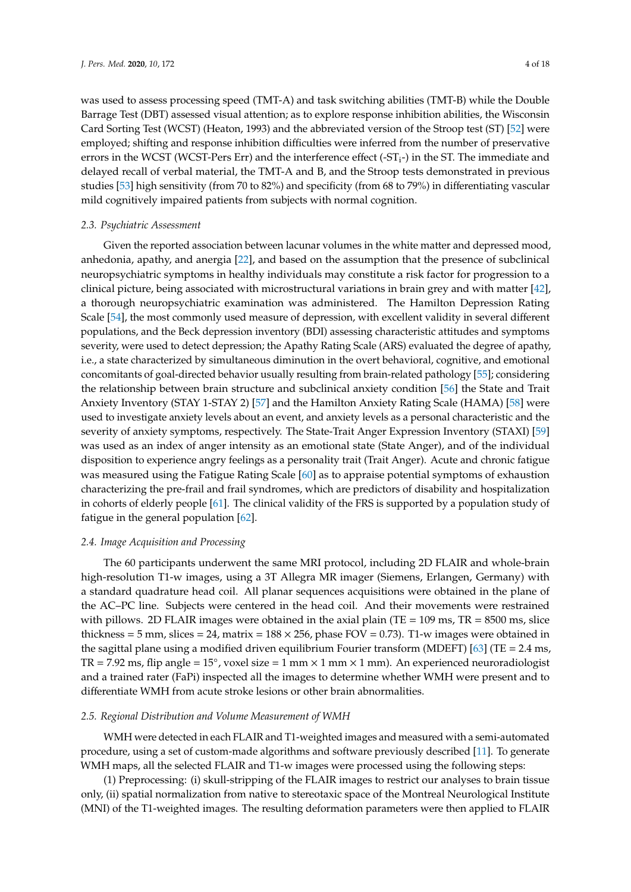was used to assess processing speed (TMT-A) and task switching abilities (TMT-B) while the Double Barrage Test (DBT) assessed visual attention; as to explore response inhibition abilities, the Wisconsin Card Sorting Test (WCST) (Heaton, 1993) and the abbreviated version of the Stroop test (ST) [\[52\]](#page-14-11) were employed; shifting and response inhibition difficulties were inferred from the number of preservative errors in the WCST (WCST-Pers Err) and the interference effect (-ST<sub>i</sub>-) in the ST. The immediate and delayed recall of verbal material, the TMT-A and B, and the Stroop tests demonstrated in previous studies [\[53\]](#page-14-12) high sensitivity (from 70 to 82%) and specificity (from 68 to 79%) in differentiating vascular mild cognitively impaired patients from subjects with normal cognition.

# *2.3. Psychiatric Assessment*

Given the reported association between lacunar volumes in the white matter and depressed mood, anhedonia, apathy, and anergia [\[22\]](#page-12-16), and based on the assumption that the presence of subclinical neuropsychiatric symptoms in healthy individuals may constitute a risk factor for progression to a clinical picture, being associated with microstructural variations in brain grey and with matter [\[42\]](#page-14-1), a thorough neuropsychiatric examination was administered. The Hamilton Depression Rating Scale [\[54\]](#page-14-13), the most commonly used measure of depression, with excellent validity in several different populations, and the Beck depression inventory (BDI) assessing characteristic attitudes and symptoms severity, were used to detect depression; the Apathy Rating Scale (ARS) evaluated the degree of apathy, i.e., a state characterized by simultaneous diminution in the overt behavioral, cognitive, and emotional concomitants of goal-directed behavior usually resulting from brain-related pathology [\[55\]](#page-14-14); considering the relationship between brain structure and subclinical anxiety condition [\[56\]](#page-14-15) the State and Trait Anxiety Inventory (STAY 1-STAY 2) [\[57\]](#page-14-16) and the Hamilton Anxiety Rating Scale (HAMA) [\[58\]](#page-14-17) were used to investigate anxiety levels about an event, and anxiety levels as a personal characteristic and the severity of anxiety symptoms, respectively. The State-Trait Anger Expression Inventory (STAXI) [\[59\]](#page-14-18) was used as an index of anger intensity as an emotional state (State Anger), and of the individual disposition to experience angry feelings as a personality trait (Trait Anger). Acute and chronic fatigue was measured using the Fatigue Rating Scale [\[60\]](#page-14-19) as to appraise potential symptoms of exhaustion characterizing the pre-frail and frail syndromes, which are predictors of disability and hospitalization in cohorts of elderly people [\[61\]](#page-14-20). The clinical validity of the FRS is supported by a population study of fatigue in the general population [\[62\]](#page-14-21).

#### *2.4. Image Acquisition and Processing*

The 60 participants underwent the same MRI protocol, including 2D FLAIR and whole-brain high-resolution T1-w images, using a 3T Allegra MR imager (Siemens, Erlangen, Germany) with a standard quadrature head coil. All planar sequences acquisitions were obtained in the plane of the AC–PC line. Subjects were centered in the head coil. And their movements were restrained with pillows. 2D FLAIR images were obtained in the axial plain (TE =  $109 \text{ ms}$ , TR =  $8500 \text{ ms}$ , slice thickness = 5 mm, slices = 24, matrix =  $188 \times 256$ , phase FOV = 0.73). T1-w images were obtained in the sagittal plane using a modified driven equilibrium Fourier transform (MDEFT) [\[63\]](#page-14-22) (TE = 2.4 ms, TR = 7.92 ms, flip angle = 15°, voxel size = 1 mm × 1 mm × 1 mm). An experienced neuroradiologist and a trained rater (FaPi) inspected all the images to determine whether WMH were present and to differentiate WMH from acute stroke lesions or other brain abnormalities.

#### *2.5. Regional Distribution and Volume Measurement of WMH*

WMH were detected in each FLAIR and T1-weighted images and measured with a semi-automated procedure, using a set of custom-made algorithms and software previously described [\[11\]](#page-12-15). To generate WMH maps, all the selected FLAIR and T1-w images were processed using the following steps:

(1) Preprocessing: (i) skull-stripping of the FLAIR images to restrict our analyses to brain tissue only, (ii) spatial normalization from native to stereotaxic space of the Montreal Neurological Institute (MNI) of the T1-weighted images. The resulting deformation parameters were then applied to FLAIR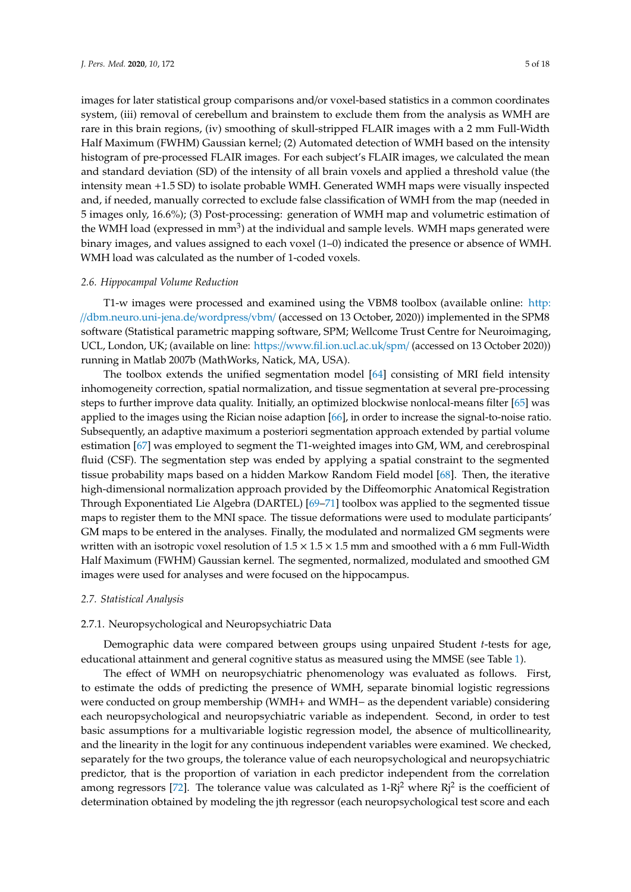images for later statistical group comparisons and/or voxel-based statistics in a common coordinates system, (iii) removal of cerebellum and brainstem to exclude them from the analysis as WMH are rare in this brain regions, (iv) smoothing of skull-stripped FLAIR images with a 2 mm Full-Width Half Maximum (FWHM) Gaussian kernel; (2) Automated detection of WMH based on the intensity histogram of pre-processed FLAIR images. For each subject's FLAIR images, we calculated the mean and standard deviation (SD) of the intensity of all brain voxels and applied a threshold value (the intensity mean +1.5 SD) to isolate probable WMH. Generated WMH maps were visually inspected and, if needed, manually corrected to exclude false classification of WMH from the map (needed in 5 images only, 16.6%); (3) Post-processing: generation of WMH map and volumetric estimation of the WMH load (expressed in  $mm^3$ ) at the individual and sample levels. WMH maps generated were binary images, and values assigned to each voxel (1–0) indicated the presence or absence of WMH. WMH load was calculated as the number of 1-coded voxels.

#### *2.6. Hippocampal Volume Reduction*

T1-w images were processed and examined using the VBM8 toolbox (available online: [http:](http://dbm.neuro.uni-jena.de/wordpress/vbm/) //[dbm.neuro.uni-jena.de](http://dbm.neuro.uni-jena.de/wordpress/vbm/)/wordpress/vbm/ (accessed on 13 October, 2020)) implemented in the SPM8 software (Statistical parametric mapping software, SPM; Wellcome Trust Centre for Neuroimaging, UCL, London, UK; (available on line: https://[www.fil.ion.ucl.ac.uk](https://www.fil.ion.ucl.ac.uk/spm/)/spm/ (accessed on 13 October 2020)) running in Matlab 2007b (MathWorks, Natick, MA, USA).

The toolbox extends the unified segmentation model [\[64\]](#page-14-23) consisting of MRI field intensity inhomogeneity correction, spatial normalization, and tissue segmentation at several pre-processing steps to further improve data quality. Initially, an optimized blockwise nonlocal-means filter [\[65\]](#page-15-0) was applied to the images using the Rician noise adaption [\[66\]](#page-15-1), in order to increase the signal-to-noise ratio. Subsequently, an adaptive maximum a posteriori segmentation approach extended by partial volume estimation [\[67\]](#page-15-2) was employed to segment the T1-weighted images into GM, WM, and cerebrospinal fluid (CSF). The segmentation step was ended by applying a spatial constraint to the segmented tissue probability maps based on a hidden Markow Random Field model [\[68\]](#page-15-3). Then, the iterative high-dimensional normalization approach provided by the Diffeomorphic Anatomical Registration Through Exponentiated Lie Algebra (DARTEL) [\[69–](#page-15-4)[71\]](#page-15-5) toolbox was applied to the segmented tissue maps to register them to the MNI space. The tissue deformations were used to modulate participants' GM maps to be entered in the analyses. Finally, the modulated and normalized GM segments were written with an isotropic voxel resolution of  $1.5 \times 1.5 \times 1.5$  mm and smoothed with a 6 mm Full-Width Half Maximum (FWHM) Gaussian kernel. The segmented, normalized, modulated and smoothed GM images were used for analyses and were focused on the hippocampus.

#### *2.7. Statistical Analysis*

#### 2.7.1. Neuropsychological and Neuropsychiatric Data

Demographic data were compared between groups using unpaired Student *t*-tests for age, educational attainment and general cognitive status as measured using the MMSE (see Table [1\)](#page-5-0).

The effect of WMH on neuropsychiatric phenomenology was evaluated as follows. First, to estimate the odds of predicting the presence of WMH, separate binomial logistic regressions were conducted on group membership (WMH+ and WMH− as the dependent variable) considering each neuropsychological and neuropsychiatric variable as independent. Second, in order to test basic assumptions for a multivariable logistic regression model, the absence of multicollinearity, and the linearity in the logit for any continuous independent variables were examined. We checked, separately for the two groups, the tolerance value of each neuropsychological and neuropsychiatric predictor, that is the proportion of variation in each predictor independent from the correlation among regressors [\[72\]](#page-15-6). The tolerance value was calculated as  $1-Rj<sup>2</sup>$  where  $Rj<sup>2</sup>$  is the coefficient of determination obtained by modeling the jth regressor (each neuropsychological test score and each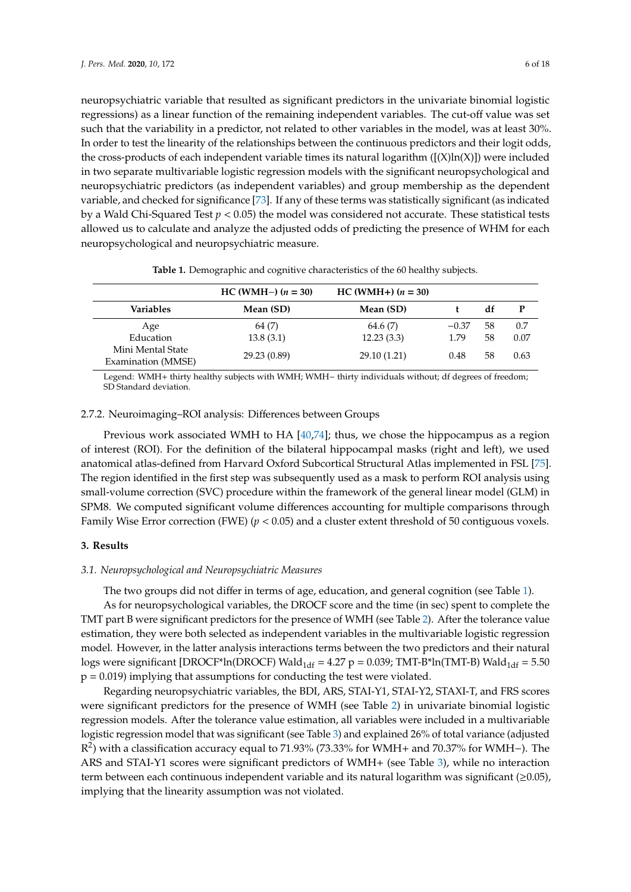in two separate multivariable logistic regression models with the significant neuropsychological and neuropsychiatric predictors (as independent variables) and group membership as the dependent variable, and checked for significance [\[73\]](#page-15-7). If any of these terms was statistically significant (as indicated by a Wald Chi-Squared Test *p* < 0.05) the model was considered not accurate. These statistical tests allowed us to calculate and analyze the adjusted odds of predicting the presence of WHM for each neuropsychological and neuropsychiatric measure.

<span id="page-5-0"></span>

|                                         | $HC (WMH-) (n = 30)$ | $HC (WMH+) (n = 30)$ |         |    |      |
|-----------------------------------------|----------------------|----------------------|---------|----|------|
| Variables                               | Mean (SD)            | Mean (SD)            |         | df | Р    |
| Age                                     | 64 (7)               | 64.6 (7)             | $-0.37$ | 58 | 0.7  |
| Education                               | 13.8(3.1)            | 12.23(3.3)           | 1.79    | 58 | 0.07 |
| Mini Mental State<br>Examination (MMSE) | 29.23 (0.89)         | 29.10 (1.21)         | 0.48    | 58 | 0.63 |

**Table 1.** Demographic and cognitive characteristics of the 60 healthy subjects.

Legend: WMH+ thirty healthy subjects with WMH; WMH− thirty individuals without; df degrees of freedom; SD Standard deviation.

# 2.7.2. Neuroimaging–ROI analysis: Differences between Groups

Previous work associated WMH to HA [\[40,](#page-13-11)[74\]](#page-15-8); thus, we chose the hippocampus as a region of interest (ROI). For the definition of the bilateral hippocampal masks (right and left), we used anatomical atlas-defined from Harvard Oxford Subcortical Structural Atlas implemented in FSL [\[75\]](#page-15-9). The region identified in the first step was subsequently used as a mask to perform ROI analysis using small-volume correction (SVC) procedure within the framework of the general linear model (GLM) in SPM8. We computed significant volume differences accounting for multiple comparisons through Family Wise Error correction (FWE) (*p* < 0.05) and a cluster extent threshold of 50 contiguous voxels.

# **3. Results**

# *3.1. Neuropsychological and Neuropsychiatric Measures*

The two groups did not differ in terms of age, education, and general cognition (see Table [1\)](#page-5-0).

As for neuropsychological variables, the DROCF score and the time (in sec) spent to complete the TMT part B were significant predictors for the presence of WMH (see Table [2\)](#page-6-0). After the tolerance value estimation, they were both selected as independent variables in the multivariable logistic regression model. However, in the latter analysis interactions terms between the two predictors and their natural logs were significant [DROCF\*ln(DROCF) Wald<sub>1df</sub> = 4.27 p = 0.039; TMT-B\*ln(TMT-B) Wald<sub>1df</sub> = 5.50  $p = 0.019$ ) implying that assumptions for conducting the test were violated.

Regarding neuropsychiatric variables, the BDI, ARS, STAI-Y1, STAI-Y2, STAXI-T, and FRS scores were significant predictors for the presence of WMH (see Table [2\)](#page-6-0) in univariate binomial logistic regression models. After the tolerance value estimation, all variables were included in a multivariable logistic regression model that was significant (see Table [3\)](#page-6-1) and explained 26% of total variance (adjusted  $R<sup>2</sup>$ ) with a classification accuracy equal to 71.93% (73.33% for WMH+ and 70.37% for WMH-). The ARS and STAI-Y1 scores were significant predictors of WMH+ (see Table [3\)](#page-6-1), while no interaction term between each continuous independent variable and its natural logarithm was significant (≥0.05), implying that the linearity assumption was not violated.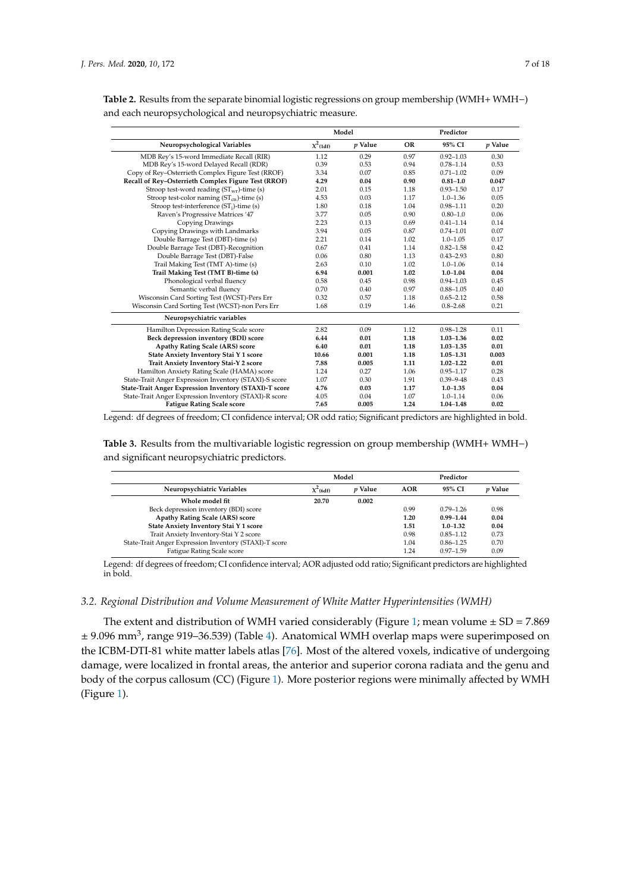|                                                        | Model          |           |           | Predictor       |         |  |
|--------------------------------------------------------|----------------|-----------|-----------|-----------------|---------|--|
| Neuropsychological Variables                           | $\chi^2$ (1df) | $p$ Value | <b>OR</b> | 95% CI          | p Value |  |
| MDB Rey's 15-word Immediate Recall (RIR)               | 1.12           | 0.29      | 0.97      | $0.92 - 1.03$   | 0.30    |  |
| MDB Rey's 15-word Delayed Recall (RDR)                 | 0.39           | 0.53      | 0.94      | $0.78 - 1.14$   | 0.53    |  |
| Copy of Rey-Osterrieth Complex Figure Test (RROF)      | 3.34           | 0.07      | 0.85      | $0.71 - 1.02$   | 0.09    |  |
| Recall of Rey-Osterrieth Complex Figure Test (RROF)    | 4.29           | 0.04      | 0.90      | $0.81 - 1.0$    | 0.047   |  |
| Stroop test-word reading $(ST_{wr})$ -time (s)         | 2.01           | 0.15      | 1.18      | $0.93 - 1.50$   | 0.17    |  |
| Stroop test-color naming $(ST_{cn})$ -time (s)         | 4.53           | 0.03      | 1.17      | $1.0 - 1.36$    | 0.05    |  |
| Stroop test-interference $(ST_i)$ -time $(s)$          | 1.80           | 0.18      | 1.04      | $0.98 - 1.11$   | 0.20    |  |
| Raven's Progressive Matrices '47                       | 3.77           | 0.05      | 0.90      | $0.80 - 1.0$    | 0.06    |  |
| <b>Copying Drawings</b>                                | 2.23           | 0.13      | 0.69      | $0.41 - 1.14$   | 0.14    |  |
| Copying Drawings with Landmarks                        | 3.94           | 0.05      | 0.87      | $0.74 - 1.01$   | 0.07    |  |
| Double Barrage Test (DBT)-time (s)                     | 2.21           | 0.14      | 1.02      | $1.0 - 1.05$    | 0.17    |  |
| Double Barrage Test (DBT)-Recognition                  | 0.67           | 0.41      | 1.14      | $0.82 - 1.58$   | 0.42    |  |
| Double Barrage Test (DBT)-False                        | 0.06           | 0.80      | 1.13      | $0.43 - 2.93$   | 0.80    |  |
| Trail Making Test (TMT A)-time (s)                     | 2.63           | 0.10      | 1.02      | $1.0 - 1.06$    | 0.14    |  |
| Trail Making Test (TMT B)-time (s)                     | 6.94           | 0.001     | 1.02      | $1.0 - 1.04$    | 0.04    |  |
| Phonological verbal fluency                            | 0.58           | 0.45      | 0.98      | $0.94 - 1.03$   | 0.45    |  |
| Semantic verbal fluency                                | 0.70           | 0.40      | 0.97      | $0.88 - 1.05$   | 0.40    |  |
| Wisconsin Card Sorting Test (WCST)-Pers Err            | 0.32           | 0.57      | 1.18      | $0.65 - 2.12$   | 0.58    |  |
| Wisconsin Card Sorting Test (WCST)-non Pers Err        | 1.68           | 0.19      | 1.46      | $0.8 - 2.68$    | 0.21    |  |
| Neuropsychiatric variables                             |                |           |           |                 |         |  |
| Hamilton Depression Rating Scale score                 | 2.82           | 0.09      | 1.12      | $0.98 - 1.28$   | 0.11    |  |
| Beck depression inventory (BDI) score                  | 6.44           | 0.01      | 1.18      | $1.03 - 1.36$   | 0.02    |  |
| Apathy Rating Scale (ARS) score                        | 6.40           | 0.01      | 1.18      | $1.03 - 1.35$   | 0.01    |  |
| State Anxiety Inventory Stai Y 1 score                 | 10.66          | 0.001     | 1.18      | $1.05 - 1.31$   | 0.003   |  |
| Trait Anxiety Inventory Stai-Y 2 score                 | 7.88           | 0.005     | 1.11      | $1.02 - 1.22$   | 0.01    |  |
| Hamilton Anxiety Rating Scale (HAMA) score             | 1.24           | 0.27      | 1.06      | $0.95 - 1.17$   | 0.28    |  |
| State-Trait Anger Expression Inventory (STAXI)-S score | 1.07           | 0.30      | 1.91      | $0.39 - 9 - 48$ | 0.43    |  |
| State-Trait Anger Expression Inventory (STAXI)-T score | 4.76           | 0.03      | 1.17      | $1.0 - 1.35$    | 0.04    |  |
| State-Trait Anger Expression Inventory (STAXI)-R score | 4.05           | 0.04      | 1.07      | $1.0 - 1.14$    | 0.06    |  |
| <b>Fatigue Rating Scale score</b>                      | 7.65           | 0.005     | 1.24      | $1.04 - 1.48$   | 0.02    |  |

<span id="page-6-0"></span>**Table 2.** Results from the separate binomial logistic regressions on group membership (WMH+ WMH−) and each neuropsychological and neuropsychiatric measure.

Legend: df degrees of freedom; CI confidence interval; OR odd ratio; Significant predictors are highlighted in bold.

<span id="page-6-1"></span>**Table 3.** Results from the multivariable logistic regression on group membership (WMH+ WMH−) and significant neuropsychiatric predictors.

|                                                        | Model       |         | Predictor  |               |         |
|--------------------------------------------------------|-------------|---------|------------|---------------|---------|
| Neuropsychiatric Variables                             | $X^2$ (6df) | v Value | <b>AOR</b> | 95% CI        | p Value |
| Whole model fit                                        | 20.70       | 0.002   |            |               |         |
| Beck depression inventory (BDI) score                  |             |         | 0.99       | $0.79 - 1.26$ | 0.98    |
| Apathy Rating Scale (ARS) score                        |             |         | 1.20       | $0.99 - 1.44$ | 0.04    |
| State Anxiety Inventory Stai Y 1 score                 |             |         | 1.51       | $1.0 - 1.32$  | 0.04    |
| Trait Anxiety Inventory-Stai Y 2 score                 |             |         | 0.98       | $0.85 - 1.12$ | 0.73    |
| State-Trait Anger Expression Inventory (STAXI)-T score |             |         | 1.04       | $0.86 - 1.25$ | 0.70    |
| Fatigue Rating Scale score                             |             |         | 1.24       | $0.97 - 1.59$ | 0.09    |

Legend: df degrees of freedom; CI confidence interval; AOR adjusted odd ratio; Significant predictors are highlighted in bold.

# *3.2. Regional Distribution and Volume Measurement of White Matter Hyperintensities (WMH)*

The extent and distribution of WMH varied considerably (Figure [1;](#page-7-0) mean volume  $\pm$  SD = 7.869  $\pm$  9.096 mm<sup>3</sup>, range 919–36.539) (Table [4\)](#page-7-1). Anatomical WMH overlap maps were superimposed on the ICBM-DTI-81 white matter labels atlas [\[76\]](#page-15-10). Most of the altered voxels, indicative of undergoing damage, were localized in frontal areas, the anterior and superior corona radiata and the genu and body of the corpus callosum (CC) (Figure [1\)](#page-7-0). More posterior regions were minimally affected by WMH (Figure [1\)](#page-7-0).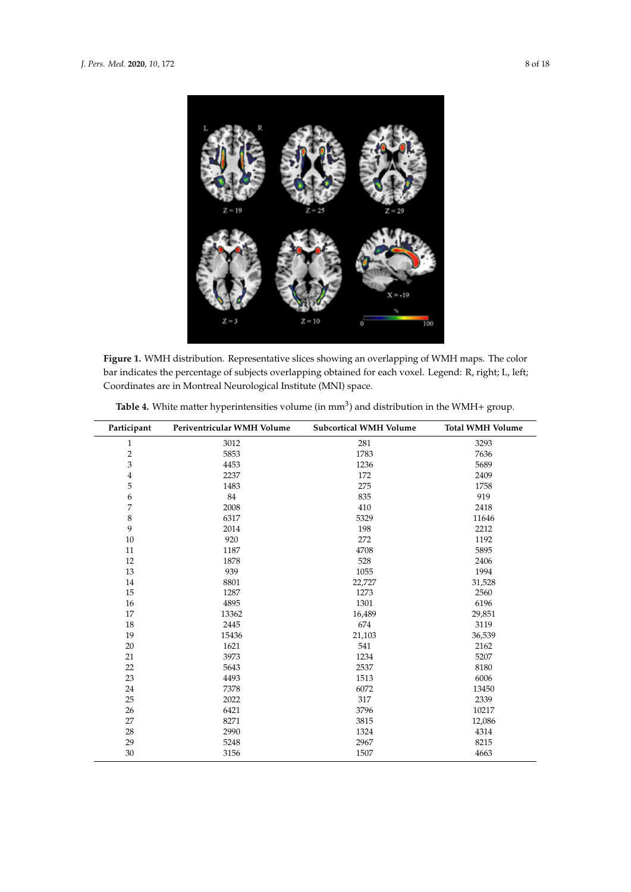<span id="page-7-0"></span>

Figure 1. WMH distribution. Representative slices showing an overlapping of WMH maps. The color Coordinates are in Montreal Neurological Institute (MNI) space. bar indicates the percentage of subjects overlapping obtained for each voxel. Legend: R, right; L, left;

| Participant    | Periventricular WMH Volume | <b>Subcortical WMH Volume</b> | <b>Total WMH Volume</b> |
|----------------|----------------------------|-------------------------------|-------------------------|
| $\mathbf{1}$   | 3012                       | 281                           | 3293                    |
| $\sqrt{2}$     | 5853                       | 1783                          | 7636                    |
| 3              | 4453                       | 1236                          | 5689                    |
| $\overline{4}$ | 2237                       | 172                           | 2409                    |
| 5              | 1483                       | 275                           | 1758                    |
| 6              | 84                         | 835                           | 919                     |
| 7              | 2008                       | 410                           | 2418                    |
| $\,$ 8 $\,$    | 6317                       | 5329                          | 11646                   |
| 9              | 2014                       | 198                           | 2212                    |
| 10             | 920                        | 272                           | 1192                    |
| 11             | 1187                       | 4708                          | 5895                    |
| 12             | 1878                       | 528                           | 2406                    |
| 13             | 939                        | 1055                          | 1994                    |
| 14             | 8801                       | 22,727                        | 31,528                  |
| 15             | 1287                       | 1273                          | 2560                    |
| 16             | 4895                       | 1301                          | 6196                    |
| 17             | 13362                      | 16,489                        | 29,851                  |
| $18\,$         | 2445                       | 674                           | 3119                    |
| 19             | 15436                      | 21,103                        | 36,539                  |
| 20             | 1621                       | 541                           | 2162                    |
| 21             | 3973                       | 1234                          | 5207                    |
| 22             | 5643                       | 2537                          | 8180                    |
| 23             | 4493                       | 1513                          | 6006                    |
| 24             | 7378                       | 6072                          | 13450                   |
| 25             | 2022                       | 317                           | 2339                    |
| 26             | 6421                       | 3796                          | 10217                   |
| 27             | 8271                       | 3815                          | 12,086                  |
| 28             | 2990                       | 1324                          | 4314                    |
| 29             | 5248                       | 2967                          | 8215                    |
| 30             | 3156                       | 1507                          | 4663                    |

<span id="page-7-1"></span>Table 4. White matter hyperintensities volume (in mm<sup>3</sup>) and distribution in the WMH+ group.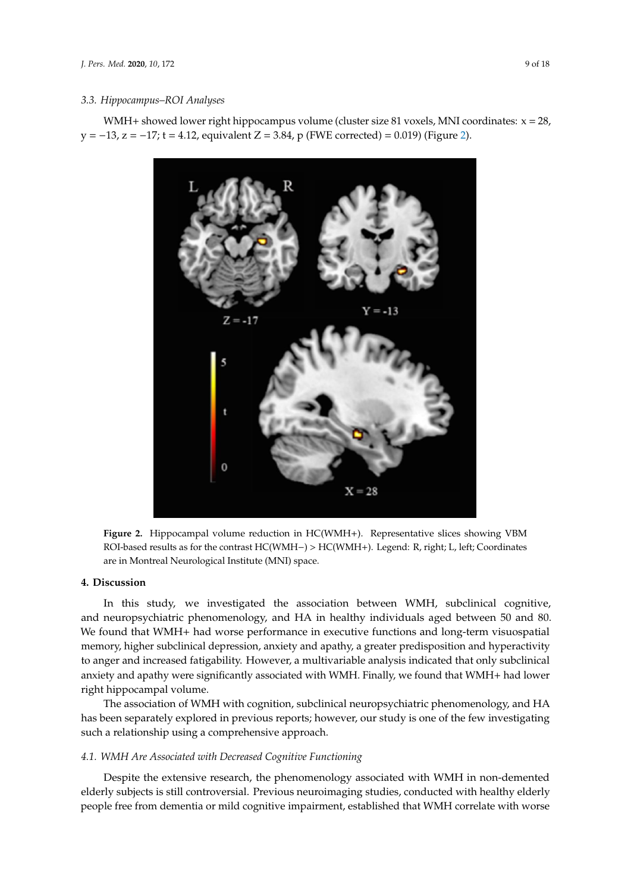# *3.3. Hippocampus–ROI Analyses 3.3. Hippocampus–ROI Analyses*

<span id="page-8-0"></span>WMH+ showed lower right hippocampus volume (cluster size 81 voxels, MNI coordinates: x = 28, WMH+ showed lower right hippocampus volume (cluster size 81 voxels, MNI coordinates: x = y = −13, z = −17; t = 4.12, equivalent Z = 3.84, p (FWE corrected) = 0.019) (Figure [2\)](#page-8-0).



Figure 2. Hippocampal volume reduction in HC(WMH+). Representative slices showing VBM are in Montreal Neurological Institute (MNI) space. ROI-based results as for the contrast HC(WMH−) > HC(WMH+). Legend: R, right; L, left; Coordinates

# **4. Discussion**

In this study, we investigated the association between WMH, subclinical cognitive, and neuropsychiatric phenomenology, and HA in healthy individuals aged between 50 and 80. We found that WMH+ had worse performance in executive functions and long-term visuospatial memory, higher subclinical depression, anxiety and apathy, a greater predisposition and hyperactivity to anger and increased fatigability. However, a multivariable analysis indicated that only subclinical anxiety and apathy were significantly associated with WMH. Finally, we found that WMH+ had lower  $\emph{right hippocampal volume}.$ 

The association of WMH with cognition, subclinical neuropsychiatric phenomenology, and HA has been separately explored in previous reports; however, our study is one of the few investigating such a relationship using a comprehensive approach.

## *4.1. WMH Are Associated with Decreased Cognitive Functioning*

Despite the extensive research, the phenomenology associated with WMH in non-demented elderly subjects is still controversial. Previous neuroimaging studies, conducted with healthy elderly people free from dementia or mild cognitive impairment, established that WMH correlate with worse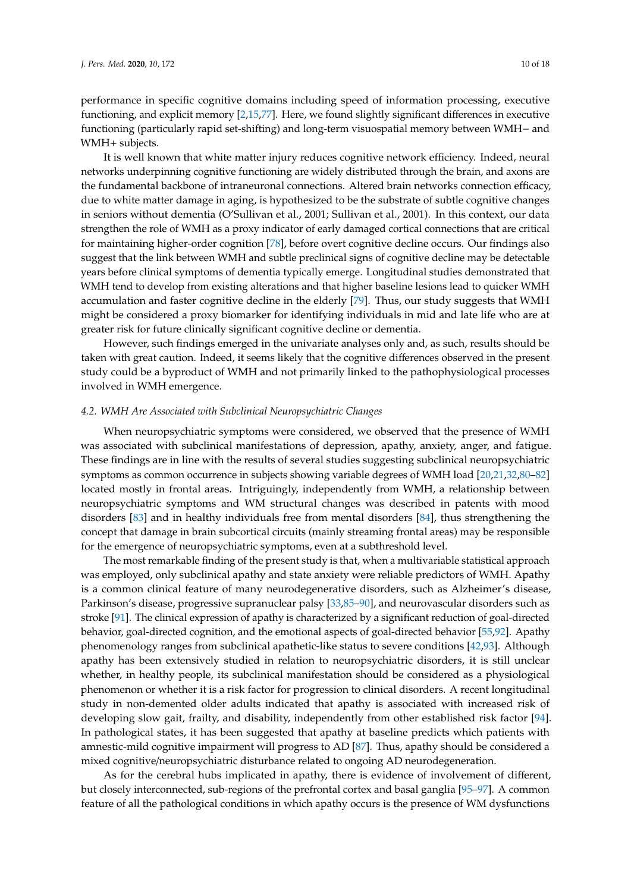performance in specific cognitive domains including speed of information processing, executive functioning, and explicit memory [\[2](#page-11-1)[,15,](#page-12-9)[77\]](#page-15-11). Here, we found slightly significant differences in executive functioning (particularly rapid set-shifting) and long-term visuospatial memory between WMH− and WMH+ subjects.

It is well known that white matter injury reduces cognitive network efficiency. Indeed, neural networks underpinning cognitive functioning are widely distributed through the brain, and axons are the fundamental backbone of intraneuronal connections. Altered brain networks connection efficacy, due to white matter damage in aging, is hypothesized to be the substrate of subtle cognitive changes in seniors without dementia (O'Sullivan et al., 2001; Sullivan et al., 2001). In this context, our data strengthen the role of WMH as a proxy indicator of early damaged cortical connections that are critical for maintaining higher-order cognition [\[78\]](#page-15-12), before overt cognitive decline occurs. Our findings also suggest that the link between WMH and subtle preclinical signs of cognitive decline may be detectable years before clinical symptoms of dementia typically emerge. Longitudinal studies demonstrated that WMH tend to develop from existing alterations and that higher baseline lesions lead to quicker WMH accumulation and faster cognitive decline in the elderly [\[79\]](#page-15-13). Thus, our study suggests that WMH might be considered a proxy biomarker for identifying individuals in mid and late life who are at greater risk for future clinically significant cognitive decline or dementia.

However, such findings emerged in the univariate analyses only and, as such, results should be taken with great caution. Indeed, it seems likely that the cognitive differences observed in the present study could be a byproduct of WMH and not primarily linked to the pathophysiological processes involved in WMH emergence.

# *4.2. WMH Are Associated with Subclinical Neuropsychiatric Changes*

When neuropsychiatric symptoms were considered, we observed that the presence of WMH was associated with subclinical manifestations of depression, apathy, anxiety, anger, and fatigue. These findings are in line with the results of several studies suggesting subclinical neuropsychiatric symptoms as common occurrence in subjects showing variable degrees of WMH load [\[20,](#page-12-13)[21,](#page-12-17)[32,](#page-13-6)[80](#page-15-14)[–82\]](#page-15-15) located mostly in frontal areas. Intriguingly, independently from WMH, a relationship between neuropsychiatric symptoms and WM structural changes was described in patents with mood disorders [\[83\]](#page-15-16) and in healthy individuals free from mental disorders [\[84\]](#page-15-17), thus strengthening the concept that damage in brain subcortical circuits (mainly streaming frontal areas) may be responsible for the emergence of neuropsychiatric symptoms, even at a subthreshold level.

The most remarkable finding of the present study is that, when a multivariable statistical approach was employed, only subclinical apathy and state anxiety were reliable predictors of WMH. Apathy is a common clinical feature of many neurodegenerative disorders, such as Alzheimer's disease, Parkinson's disease, progressive supranuclear palsy [\[33,](#page-13-7)[85](#page-15-18)[–90\]](#page-16-0), and neurovascular disorders such as stroke [\[91\]](#page-16-1). The clinical expression of apathy is characterized by a significant reduction of goal-directed behavior, goal-directed cognition, and the emotional aspects of goal-directed behavior [\[55,](#page-14-14)[92\]](#page-16-2). Apathy phenomenology ranges from subclinical apathetic-like status to severe conditions [\[42](#page-14-1)[,93\]](#page-16-3). Although apathy has been extensively studied in relation to neuropsychiatric disorders, it is still unclear whether, in healthy people, its subclinical manifestation should be considered as a physiological phenomenon or whether it is a risk factor for progression to clinical disorders. A recent longitudinal study in non-demented older adults indicated that apathy is associated with increased risk of developing slow gait, frailty, and disability, independently from other established risk factor [\[94\]](#page-16-4). In pathological states, it has been suggested that apathy at baseline predicts which patients with amnestic-mild cognitive impairment will progress to AD [\[87\]](#page-16-5). Thus, apathy should be considered a mixed cognitive/neuropsychiatric disturbance related to ongoing AD neurodegeneration.

As for the cerebral hubs implicated in apathy, there is evidence of involvement of different, but closely interconnected, sub-regions of the prefrontal cortex and basal ganglia [\[95–](#page-16-6)[97\]](#page-16-7). A common feature of all the pathological conditions in which apathy occurs is the presence of WM dysfunctions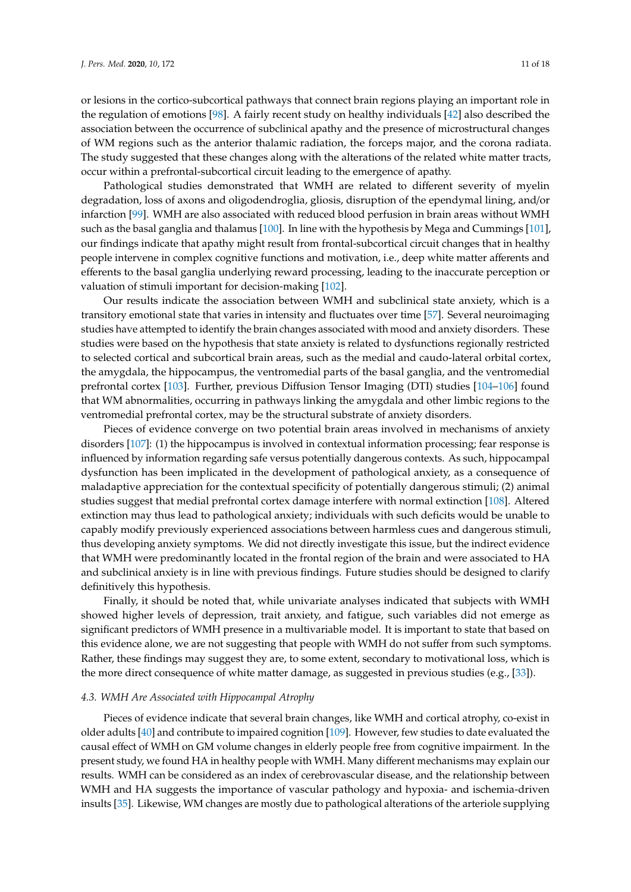or lesions in the cortico-subcortical pathways that connect brain regions playing an important role in the regulation of emotions [\[98\]](#page-16-8). A fairly recent study on healthy individuals [\[42\]](#page-14-1) also described the association between the occurrence of subclinical apathy and the presence of microstructural changes of WM regions such as the anterior thalamic radiation, the forceps major, and the corona radiata. The study suggested that these changes along with the alterations of the related white matter tracts, occur within a prefrontal-subcortical circuit leading to the emergence of apathy.

Pathological studies demonstrated that WMH are related to different severity of myelin degradation, loss of axons and oligodendroglia, gliosis, disruption of the ependymal lining, and/or infarction [\[99\]](#page-16-9). WMH are also associated with reduced blood perfusion in brain areas without WMH such as the basal ganglia and thalamus [\[100\]](#page-16-10). In line with the hypothesis by Mega and Cummings [\[101\]](#page-16-11), our findings indicate that apathy might result from frontal-subcortical circuit changes that in healthy people intervene in complex cognitive functions and motivation, i.e., deep white matter afferents and efferents to the basal ganglia underlying reward processing, leading to the inaccurate perception or valuation of stimuli important for decision-making [\[102\]](#page-16-12).

Our results indicate the association between WMH and subclinical state anxiety, which is a transitory emotional state that varies in intensity and fluctuates over time [\[57\]](#page-14-16). Several neuroimaging studies have attempted to identify the brain changes associated with mood and anxiety disorders. These studies were based on the hypothesis that state anxiety is related to dysfunctions regionally restricted to selected cortical and subcortical brain areas, such as the medial and caudo-lateral orbital cortex, the amygdala, the hippocampus, the ventromedial parts of the basal ganglia, and the ventromedial prefrontal cortex [\[103\]](#page-16-13). Further, previous Diffusion Tensor Imaging (DTI) studies [\[104](#page-16-14)[–106\]](#page-16-15) found that WM abnormalities, occurring in pathways linking the amygdala and other limbic regions to the ventromedial prefrontal cortex, may be the structural substrate of anxiety disorders.

Pieces of evidence converge on two potential brain areas involved in mechanisms of anxiety disorders [\[107\]](#page-16-16): (1) the hippocampus is involved in contextual information processing; fear response is influenced by information regarding safe versus potentially dangerous contexts. As such, hippocampal dysfunction has been implicated in the development of pathological anxiety, as a consequence of maladaptive appreciation for the contextual specificity of potentially dangerous stimuli; (2) animal studies suggest that medial prefrontal cortex damage interfere with normal extinction [\[108\]](#page-17-0). Altered extinction may thus lead to pathological anxiety; individuals with such deficits would be unable to capably modify previously experienced associations between harmless cues and dangerous stimuli, thus developing anxiety symptoms. We did not directly investigate this issue, but the indirect evidence that WMH were predominantly located in the frontal region of the brain and were associated to HA and subclinical anxiety is in line with previous findings. Future studies should be designed to clarify definitively this hypothesis.

Finally, it should be noted that, while univariate analyses indicated that subjects with WMH showed higher levels of depression, trait anxiety, and fatigue, such variables did not emerge as significant predictors of WMH presence in a multivariable model. It is important to state that based on this evidence alone, we are not suggesting that people with WMH do not suffer from such symptoms. Rather, these findings may suggest they are, to some extent, secondary to motivational loss, which is the more direct consequence of white matter damage, as suggested in previous studies (e.g., [\[33\]](#page-13-7)).

#### *4.3. WMH Are Associated with Hippocampal Atrophy*

Pieces of evidence indicate that several brain changes, like WMH and cortical atrophy, co-exist in older adults [\[40\]](#page-13-11) and contribute to impaired cognition [\[109\]](#page-17-1). However, few studies to date evaluated the causal effect of WMH on GM volume changes in elderly people free from cognitive impairment. In the present study, we found HA in healthy people with WMH. Many different mechanisms may explain our results. WMH can be considered as an index of cerebrovascular disease, and the relationship between WMH and HA suggests the importance of vascular pathology and hypoxia- and ischemia-driven insults [\[35\]](#page-13-9). Likewise, WM changes are mostly due to pathological alterations of the arteriole supplying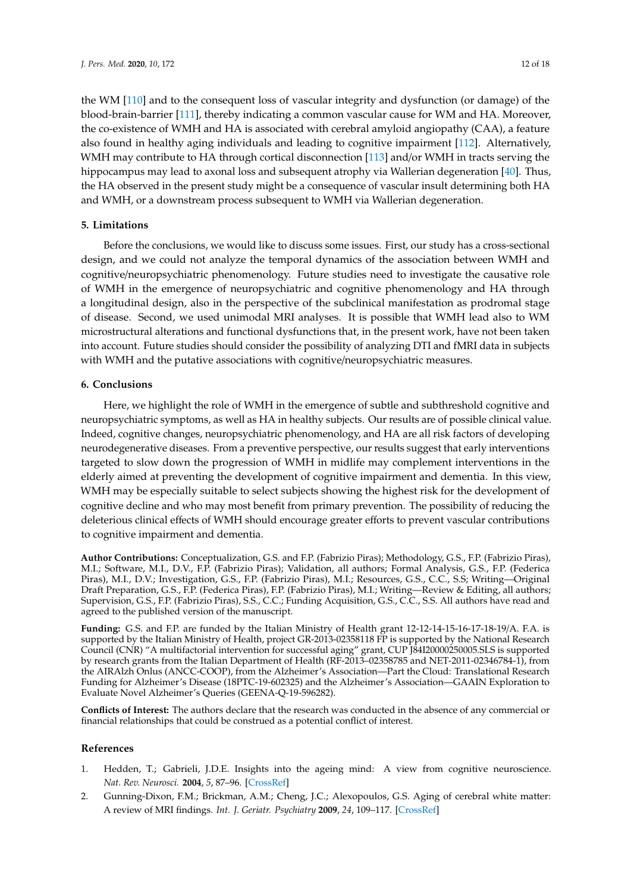the WM [\[110\]](#page-17-2) and to the consequent loss of vascular integrity and dysfunction (or damage) of the blood-brain-barrier [\[111\]](#page-17-3), thereby indicating a common vascular cause for WM and HA. Moreover, the co-existence of WMH and HA is associated with cerebral amyloid angiopathy (CAA), a feature also found in healthy aging individuals and leading to cognitive impairment [\[112\]](#page-17-4). Alternatively, WMH may contribute to HA through cortical disconnection [\[113\]](#page-17-5) and/or WMH in tracts serving the hippocampus may lead to axonal loss and subsequent atrophy via Wallerian degeneration [\[40\]](#page-13-11). Thus, the HA observed in the present study might be a consequence of vascular insult determining both HA and WMH, or a downstream process subsequent to WMH via Wallerian degeneration.

# **5. Limitations**

Before the conclusions, we would like to discuss some issues. First, our study has a cross-sectional design, and we could not analyze the temporal dynamics of the association between WMH and cognitive/neuropsychiatric phenomenology. Future studies need to investigate the causative role of WMH in the emergence of neuropsychiatric and cognitive phenomenology and HA through a longitudinal design, also in the perspective of the subclinical manifestation as prodromal stage of disease. Second, we used unimodal MRI analyses. It is possible that WMH lead also to WM microstructural alterations and functional dysfunctions that, in the present work, have not been taken into account. Future studies should consider the possibility of analyzing DTI and fMRI data in subjects with WMH and the putative associations with cognitive/neuropsychiatric measures.

#### **6. Conclusions**

Here, we highlight the role of WMH in the emergence of subtle and subthreshold cognitive and neuropsychiatric symptoms, as well as HA in healthy subjects. Our results are of possible clinical value. Indeed, cognitive changes, neuropsychiatric phenomenology, and HA are all risk factors of developing neurodegenerative diseases. From a preventive perspective, our results suggest that early interventions targeted to slow down the progression of WMH in midlife may complement interventions in the elderly aimed at preventing the development of cognitive impairment and dementia. In this view, WMH may be especially suitable to select subjects showing the highest risk for the development of cognitive decline and who may most benefit from primary prevention. The possibility of reducing the deleterious clinical effects of WMH should encourage greater efforts to prevent vascular contributions to cognitive impairment and dementia.

**Author Contributions:** Conceptualization, G.S. and F.P. (Fabrizio Piras); Methodology, G.S., F.P. (Fabrizio Piras), M.I.; Software, M.I., D.V., F.P. (Fabrizio Piras); Validation, all authors; Formal Analysis, G.S., F.P. (Federica Piras), M.I., D.V.; Investigation, G.S., F.P. (Fabrizio Piras), M.I.; Resources, G.S., C.C., S.S; Writing—Original Draft Preparation, G.S., F.P. (Federica Piras), F.P. (Fabrizio Piras), M.I.; Writing—Review & Editing, all authors; Supervision, G.S., F.P. (Fabrizio Piras), S.S., C.C.; Funding Acquisition, G.S., C.C., S.S. All authors have read and agreed to the published version of the manuscript.

**Funding:** G.S. and F.P. are funded by the Italian Ministry of Health grant 12-12-14-15-16-17-18-19/A. F.A. is supported by the Italian Ministry of Health, project GR-2013-02358118 FP is supported by the National Research Council (CNR) "A multifactorial intervention for successful aging" grant, CUP J84I20000250005.SLS is supported by research grants from the Italian Department of Health (RF-2013–02358785 and NET-2011-02346784-1), from the AIRAlzh Onlus (ANCC-COOP), from the Alzheimer's Association—Part the Cloud: Translational Research Funding for Alzheimer's Disease (18PTC-19-602325) and the Alzheimer's Association—GAAIN Exploration to Evaluate Novel Alzheimer's Queries (GEENA-Q-19-596282).

**Conflicts of Interest:** The authors declare that the research was conducted in the absence of any commercial or financial relationships that could be construed as a potential conflict of interest.

#### **References**

- <span id="page-11-0"></span>1. Hedden, T.; Gabrieli, J.D.E. Insights into the ageing mind: A view from cognitive neuroscience. *Nat. Rev. Neurosci.* **2004**, *5*, 87–96. [\[CrossRef\]](http://dx.doi.org/10.1038/nrn1323)
- <span id="page-11-1"></span>2. Gunning-Dixon, F.M.; Brickman, A.M.; Cheng, J.C.; Alexopoulos, G.S. Aging of cerebral white matter: A review of MRI findings. *Int. J. Geriatr. Psychiatry* **2009**, *24*, 109–117. [\[CrossRef\]](http://dx.doi.org/10.1002/gps.2087)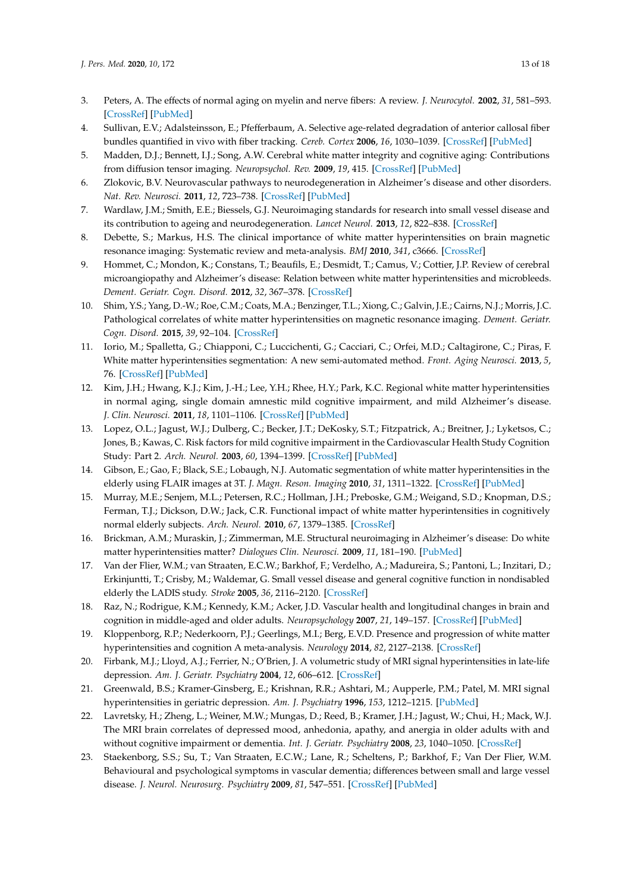- <span id="page-12-0"></span>3. Peters, A. The effects of normal aging on myelin and nerve fibers: A review. *J. Neurocytol.* **2002**, *31*, 581–593. [\[CrossRef\]](http://dx.doi.org/10.1023/A:1025731309829) [\[PubMed\]](http://www.ncbi.nlm.nih.gov/pubmed/14501200)
- <span id="page-12-1"></span>4. Sullivan, E.V.; Adalsteinsson, E.; Pfefferbaum, A. Selective age-related degradation of anterior callosal fiber bundles quantified in vivo with fiber tracking. *Cereb. Cortex* **2006**, *16*, 1030–1039. [\[CrossRef\]](http://dx.doi.org/10.1093/cercor/bhj045) [\[PubMed\]](http://www.ncbi.nlm.nih.gov/pubmed/16207932)
- 5. Madden, D.J.; Bennett, I.J.; Song, A.W. Cerebral white matter integrity and cognitive aging: Contributions from diffusion tensor imaging. *Neuropsychol. Rev.* **2009**, *19*, 415. [\[CrossRef\]](http://dx.doi.org/10.1007/s11065-009-9113-2) [\[PubMed\]](http://www.ncbi.nlm.nih.gov/pubmed/19705281)
- <span id="page-12-2"></span>6. Zlokovic, B.V. Neurovascular pathways to neurodegeneration in Alzheimer's disease and other disorders. *Nat. Rev. Neurosci.* **2011**, *12*, 723–738. [\[CrossRef\]](http://dx.doi.org/10.1038/nrn3114) [\[PubMed\]](http://www.ncbi.nlm.nih.gov/pubmed/22048062)
- <span id="page-12-3"></span>7. Wardlaw, J.M.; Smith, E.E.; Biessels, G.J. Neuroimaging standards for research into small vessel disease and its contribution to ageing and neurodegeneration. *Lancet Neurol.* **2013**, *12*, 822–838. [\[CrossRef\]](http://dx.doi.org/10.1016/S1474-4422(13)70124-8)
- <span id="page-12-4"></span>8. Debette, S.; Markus, H.S. The clinical importance of white matter hyperintensities on brain magnetic resonance imaging: Systematic review and meta-analysis. *BMJ* **2010**, *341*, c3666. [\[CrossRef\]](http://dx.doi.org/10.1136/bmj.c3666)
- <span id="page-12-5"></span>9. Hommet, C.; Mondon, K.; Constans, T.; Beaufils, E.; Desmidt, T.; Camus, V.; Cottier, J.P. Review of cerebral microangiopathy and Alzheimer's disease: Relation between white matter hyperintensities and microbleeds. *Dement. Geriatr. Cogn. Disord.* **2012**, *32*, 367–378. [\[CrossRef\]](http://dx.doi.org/10.1159/000335568)
- 10. Shim, Y.S.; Yang, D.-W.; Roe, C.M.; Coats, M.A.; Benzinger, T.L.; Xiong, C.; Galvin, J.E.; Cairns, N.J.; Morris, J.C. Pathological correlates of white matter hyperintensities on magnetic resonance imaging. *Dement. Geriatr. Cogn. Disord.* **2015**, *39*, 92–104. [\[CrossRef\]](http://dx.doi.org/10.1159/000366411)
- <span id="page-12-15"></span>11. Iorio, M.; Spalletta, G.; Chiapponi, C.; Luccichenti, G.; Cacciari, C.; Orfei, M.D.; Caltagirone, C.; Piras, F. White matter hyperintensities segmentation: A new semi-automated method. *Front. Aging Neurosci.* **2013**, *5*, 76. [\[CrossRef\]](http://dx.doi.org/10.3389/fnagi.2013.00076) [\[PubMed\]](http://www.ncbi.nlm.nih.gov/pubmed/24339815)
- 12. Kim, J.H.; Hwang, K.J.; Kim, J.-H.; Lee, Y.H.; Rhee, H.Y.; Park, K.C. Regional white matter hyperintensities in normal aging, single domain amnestic mild cognitive impairment, and mild Alzheimer's disease. *J. Clin. Neurosci.* **2011**, *18*, 1101–1106. [\[CrossRef\]](http://dx.doi.org/10.1016/j.jocn.2011.01.008) [\[PubMed\]](http://www.ncbi.nlm.nih.gov/pubmed/21723730)
- <span id="page-12-6"></span>13. Lopez, O.L.; Jagust, W.J.; Dulberg, C.; Becker, J.T.; DeKosky, S.T.; Fitzpatrick, A.; Breitner, J.; Lyketsos, C.; Jones, B.; Kawas, C. Risk factors for mild cognitive impairment in the Cardiovascular Health Study Cognition Study: Part 2. *Arch. Neurol.* **2003**, *60*, 1394–1399. [\[CrossRef\]](http://dx.doi.org/10.1001/archneur.60.10.1394) [\[PubMed\]](http://www.ncbi.nlm.nih.gov/pubmed/14568809)
- <span id="page-12-7"></span>14. Gibson, E.; Gao, F.; Black, S.E.; Lobaugh, N.J. Automatic segmentation of white matter hyperintensities in the elderly using FLAIR images at 3T. *J. Magn. Reson. Imaging* **2010**, *31*, 1311–1322. [\[CrossRef\]](http://dx.doi.org/10.1002/jmri.22004) [\[PubMed\]](http://www.ncbi.nlm.nih.gov/pubmed/20512882)
- <span id="page-12-9"></span>15. Murray, M.E.; Senjem, M.L.; Petersen, R.C.; Hollman, J.H.; Preboske, G.M.; Weigand, S.D.; Knopman, D.S.; Ferman, T.J.; Dickson, D.W.; Jack, C.R. Functional impact of white matter hyperintensities in cognitively normal elderly subjects. *Arch. Neurol.* **2010**, *67*, 1379–1385. [\[CrossRef\]](http://dx.doi.org/10.1001/archneurol.2010.280)
- <span id="page-12-8"></span>16. Brickman, A.M.; Muraskin, J.; Zimmerman, M.E. Structural neuroimaging in Alzheimer's disease: Do white matter hyperintensities matter? *Dialogues Clin. Neurosci.* **2009**, *11*, 181–190. [\[PubMed\]](http://www.ncbi.nlm.nih.gov/pubmed/19585953)
- <span id="page-12-10"></span>17. Van der Flier, W.M.; van Straaten, E.C.W.; Barkhof, F.; Verdelho, A.; Madureira, S.; Pantoni, L.; Inzitari, D.; Erkinjuntti, T.; Crisby, M.; Waldemar, G. Small vessel disease and general cognitive function in nondisabled elderly the LADIS study. *Stroke* **2005**, *36*, 2116–2120. [\[CrossRef\]](http://dx.doi.org/10.1161/01.STR.0000179092.59909.42)
- <span id="page-12-11"></span>18. Raz, N.; Rodrigue, K.M.; Kennedy, K.M.; Acker, J.D. Vascular health and longitudinal changes in brain and cognition in middle-aged and older adults. *Neuropsychology* **2007**, *21*, 149–157. [\[CrossRef\]](http://dx.doi.org/10.1037/0894-4105.21.2.149) [\[PubMed\]](http://www.ncbi.nlm.nih.gov/pubmed/17402815)
- <span id="page-12-12"></span>19. Kloppenborg, R.P.; Nederkoorn, P.J.; Geerlings, M.I.; Berg, E.V.D. Presence and progression of white matter hyperintensities and cognition A meta-analysis. *Neurology* **2014**, *82*, 2127–2138. [\[CrossRef\]](http://dx.doi.org/10.1212/WNL.0000000000000505)
- <span id="page-12-13"></span>20. Firbank, M.J.; Lloyd, A.J.; Ferrier, N.; O'Brien, J. A volumetric study of MRI signal hyperintensities in late-life depression. *Am. J. Geriatr. Psychiatry* **2004**, *12*, 606–612. [\[CrossRef\]](http://dx.doi.org/10.1097/00019442-200411000-00006)
- <span id="page-12-17"></span>21. Greenwald, B.S.; Kramer-Ginsberg, E.; Krishnan, R.R.; Ashtari, M.; Aupperle, P.M.; Patel, M. MRI signal hyperintensities in geriatric depression. *Am. J. Psychiatry* **1996**, *153*, 1212–1215. [\[PubMed\]](http://www.ncbi.nlm.nih.gov/pubmed/8780429)
- <span id="page-12-16"></span>22. Lavretsky, H.; Zheng, L.; Weiner, M.W.; Mungas, D.; Reed, B.; Kramer, J.H.; Jagust, W.; Chui, H.; Mack, W.J. The MRI brain correlates of depressed mood, anhedonia, apathy, and anergia in older adults with and without cognitive impairment or dementia. *Int. J. Geriatr. Psychiatry* **2008**, *23*, 1040–1050. [\[CrossRef\]](http://dx.doi.org/10.1002/gps.2030)
- <span id="page-12-14"></span>23. Staekenborg, S.S.; Su, T.; Van Straaten, E.C.W.; Lane, R.; Scheltens, P.; Barkhof, F.; Van Der Flier, W.M. Behavioural and psychological symptoms in vascular dementia; differences between small and large vessel disease. *J. Neurol. Neurosurg. Psychiatry* **2009**, *81*, 547–551. [\[CrossRef\]](http://dx.doi.org/10.1136/jnnp.2009.187500) [\[PubMed\]](http://www.ncbi.nlm.nih.gov/pubmed/19965852)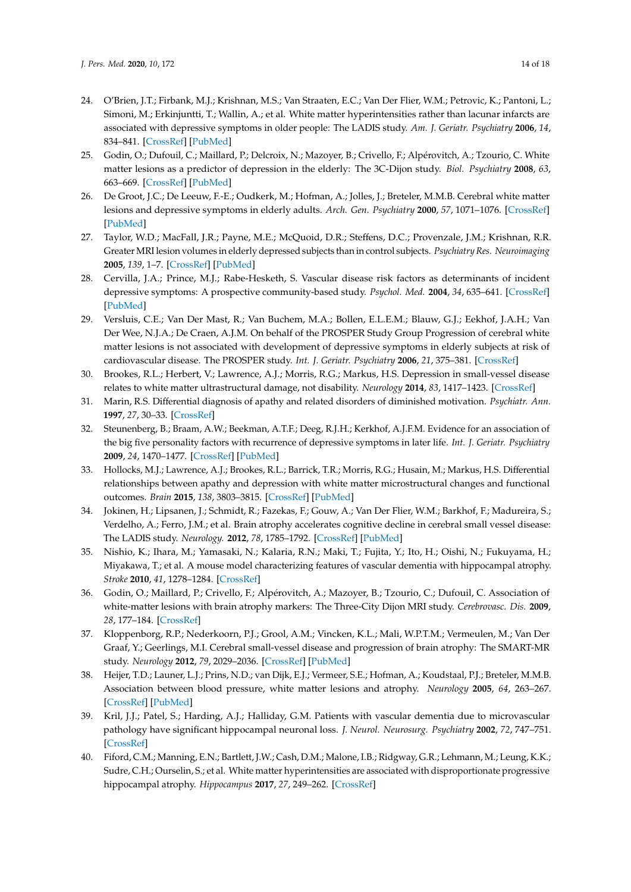- <span id="page-13-0"></span>24. O'Brien, J.T.; Firbank, M.J.; Krishnan, M.S.; Van Straaten, E.C.; Van Der Flier, W.M.; Petrovic, K.; Pantoni, L.; Simoni, M.; Erkinjuntti, T.; Wallin, A.; et al. White matter hyperintensities rather than lacunar infarcts are associated with depressive symptoms in older people: The LADIS study. *Am. J. Geriatr. Psychiatry* **2006**, *14*, 834–841. [\[CrossRef\]](http://dx.doi.org/10.1097/01.JGP.0000214558.63358.94) [\[PubMed\]](http://www.ncbi.nlm.nih.gov/pubmed/17001023)
- 25. Godin, O.; Dufouil, C.; Maillard, P.; Delcroix, N.; Mazoyer, B.; Crivello, F.; Alpérovitch, A.; Tzourio, C. White matter lesions as a predictor of depression in the elderly: The 3C-Dijon study. *Biol. Psychiatry* **2008**, *63*, 663–669. [\[CrossRef\]](http://dx.doi.org/10.1016/j.biopsych.2007.09.006) [\[PubMed\]](http://www.ncbi.nlm.nih.gov/pubmed/17977521)
- 26. De Groot, J.C.; De Leeuw, F.-E.; Oudkerk, M.; Hofman, A.; Jolles, J.; Breteler, M.M.B. Cerebral white matter lesions and depressive symptoms in elderly adults. *Arch. Gen. Psychiatry* **2000**, *57*, 1071–1076. [\[CrossRef\]](http://dx.doi.org/10.1001/archpsyc.57.11.1071) [\[PubMed\]](http://www.ncbi.nlm.nih.gov/pubmed/11074873)
- <span id="page-13-1"></span>27. Taylor, W.D.; MacFall, J.R.; Payne, M.E.; McQuoid, D.R.; Steffens, D.C.; Provenzale, J.M.; Krishnan, R.R. Greater MRI lesion volumes in elderly depressed subjects than in control subjects. *Psychiatry Res. Neuroimaging* **2005**, *139*, 1–7. [\[CrossRef\]](http://dx.doi.org/10.1016/j.pscychresns.2004.08.004) [\[PubMed\]](http://www.ncbi.nlm.nih.gov/pubmed/15927454)
- <span id="page-13-2"></span>28. Cervilla, J.A.; Prince, M.J.; Rabe-Hesketh, S. Vascular disease risk factors as determinants of incident depressive symptoms: A prospective community-based study. *Psychol. Med.* **2004**, *34*, 635–641. [\[CrossRef\]](http://dx.doi.org/10.1017/S0033291703001533) [\[PubMed\]](http://www.ncbi.nlm.nih.gov/pubmed/15099418)
- <span id="page-13-4"></span>29. Versluis, C.E.; Van Der Mast, R.; Van Buchem, M.A.; Bollen, E.L.E.M.; Blauw, G.J.; Eekhof, J.A.H.; Van Der Wee, N.J.A.; De Craen, A.J.M. On behalf of the PROSPER Study Group Progression of cerebral white matter lesions is not associated with development of depressive symptoms in elderly subjects at risk of cardiovascular disease. The PROSPER study. *Int. J. Geriatr. Psychiatry* **2006**, *21*, 375–381. [\[CrossRef\]](http://dx.doi.org/10.1002/gps.1477)
- <span id="page-13-3"></span>30. Brookes, R.L.; Herbert, V.; Lawrence, A.J.; Morris, R.G.; Markus, H.S. Depression in small-vessel disease relates to white matter ultrastructural damage, not disability. *Neurology* **2014**, *83*, 1417–1423. [\[CrossRef\]](http://dx.doi.org/10.1212/WNL.0000000000000882)
- <span id="page-13-5"></span>31. Marin, R.S. Differential diagnosis of apathy and related disorders of diminished motivation. *Psychiatr. Ann.* **1997**, *27*, 30–33. [\[CrossRef\]](http://dx.doi.org/10.3928/0048-5713-19970101-08)
- <span id="page-13-6"></span>32. Steunenberg, B.; Braam, A.W.; Beekman, A.T.F.; Deeg, R.J.H.; Kerkhof, A.J.F.M. Evidence for an association of the big five personality factors with recurrence of depressive symptoms in later life. *Int. J. Geriatr. Psychiatry* **2009**, *24*, 1470–1477. [\[CrossRef\]](http://dx.doi.org/10.1002/gps.2291) [\[PubMed\]](http://www.ncbi.nlm.nih.gov/pubmed/19382138)
- <span id="page-13-7"></span>33. Hollocks, M.J.; Lawrence, A.J.; Brookes, R.L.; Barrick, T.R.; Morris, R.G.; Husain, M.; Markus, H.S. Differential relationships between apathy and depression with white matter microstructural changes and functional outcomes. *Brain* **2015**, *138*, 3803–3815. [\[CrossRef\]](http://dx.doi.org/10.1093/brain/awv304) [\[PubMed\]](http://www.ncbi.nlm.nih.gov/pubmed/26490330)
- <span id="page-13-8"></span>34. Jokinen, H.; Lipsanen, J.; Schmidt, R.; Fazekas, F.; Gouw, A.; Van Der Flier, W.M.; Barkhof, F.; Madureira, S.; Verdelho, A.; Ferro, J.M.; et al. Brain atrophy accelerates cognitive decline in cerebral small vessel disease: The LADIS study. *Neurology.* **2012**, *78*, 1785–1792. [\[CrossRef\]](http://dx.doi.org/10.1212/WNL.0b013e3182583070) [\[PubMed\]](http://www.ncbi.nlm.nih.gov/pubmed/22592361)
- <span id="page-13-9"></span>35. Nishio, K.; Ihara, M.; Yamasaki, N.; Kalaria, R.N.; Maki, T.; Fujita, Y.; Ito, H.; Oishi, N.; Fukuyama, H.; Miyakawa, T.; et al. A mouse model characterizing features of vascular dementia with hippocampal atrophy. *Stroke* **2010**, *41*, 1278–1284. [\[CrossRef\]](http://dx.doi.org/10.1161/STROKEAHA.110.581686)
- <span id="page-13-10"></span>36. Godin, O.; Maillard, P.; Crivello, F.; Alpérovitch, A.; Mazoyer, B.; Tzourio, C.; Dufouil, C. Association of white-matter lesions with brain atrophy markers: The Three-City Dijon MRI study. *Cerebrovasc. Dis.* **2009**, *28*, 177–184. [\[CrossRef\]](http://dx.doi.org/10.1159/000226117)
- 37. Kloppenborg, R.P.; Nederkoorn, P.J.; Grool, A.M.; Vincken, K.L.; Mali, W.P.T.M.; Vermeulen, M.; Van Der Graaf, Y.; Geerlings, M.I. Cerebral small-vessel disease and progression of brain atrophy: The SMART-MR study. *Neurology* **2012**, *79*, 2029–2036. [\[CrossRef\]](http://dx.doi.org/10.1212/WNL.0b013e3182749f02) [\[PubMed\]](http://www.ncbi.nlm.nih.gov/pubmed/23115210)
- 38. Heijer, T.D.; Launer, L.J.; Prins, N.D.; van Dijk, E.J.; Vermeer, S.E.; Hofman, A.; Koudstaal, P.J.; Breteler, M.M.B. Association between blood pressure, white matter lesions and atrophy. *Neurology* **2005**, *64*, 263–267. [\[CrossRef\]](http://dx.doi.org/10.1212/01.WNL.0000149641.55751.2E) [\[PubMed\]](http://www.ncbi.nlm.nih.gov/pubmed/15668423)
- 39. Kril, J.J.; Patel, S.; Harding, A.J.; Halliday, G.M. Patients with vascular dementia due to microvascular pathology have significant hippocampal neuronal loss. *J. Neurol. Neurosurg. Psychiatry* **2002**, *72*, 747–751. [\[CrossRef\]](http://dx.doi.org/10.1136/jnnp.72.6.747)
- <span id="page-13-11"></span>40. Fiford, C.M.; Manning, E.N.; Bartlett, J.W.; Cash, D.M.; Malone, I.B.; Ridgway, G.R.; Lehmann, M.; Leung, K.K.; Sudre, C.H.; Ourselin, S.; et al. White matter hyperintensities are associated with disproportionate progressive hippocampal atrophy. *Hippocampus* **2017**, *27*, 249–262. [\[CrossRef\]](http://dx.doi.org/10.1002/hipo.22690)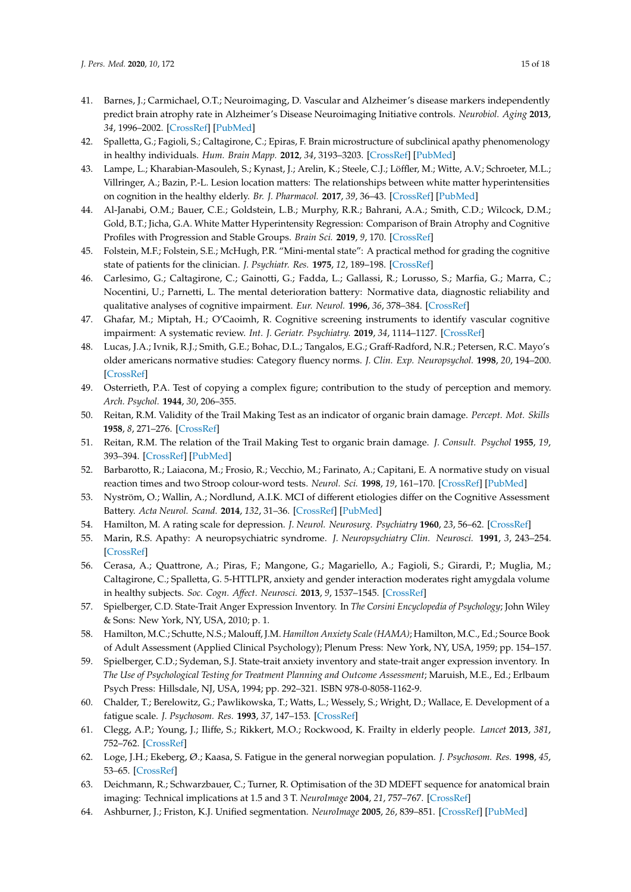- <span id="page-14-0"></span>41. Barnes, J.; Carmichael, O.T.; Neuroimaging, D. Vascular and Alzheimer's disease markers independently predict brain atrophy rate in Alzheimer's Disease Neuroimaging Initiative controls. *Neurobiol. Aging* **2013**, *34*, 1996–2002. [\[CrossRef\]](http://dx.doi.org/10.1016/j.neurobiolaging.2013.02.003) [\[PubMed\]](http://www.ncbi.nlm.nih.gov/pubmed/23522844)
- <span id="page-14-1"></span>42. Spalletta, G.; Fagioli, S.; Caltagirone, C.; Epiras, F. Brain microstructure of subclinical apathy phenomenology in healthy individuals. *Hum. Brain Mapp.* **2012**, *34*, 3193–3203. [\[CrossRef\]](http://dx.doi.org/10.1002/hbm.22137) [\[PubMed\]](http://www.ncbi.nlm.nih.gov/pubmed/22807351)
- <span id="page-14-2"></span>43. Lampe, L.; Kharabian-Masouleh, S.; Kynast, J.; Arelin, K.; Steele, C.J.; Löffler, M.; Witte, A.V.; Schroeter, M.L.; Villringer, A.; Bazin, P.-L. Lesion location matters: The relationships between white matter hyperintensities on cognition in the healthy elderly. *Br. J. Pharmacol.* **2017**, *39*, 36–43. [\[CrossRef\]](http://dx.doi.org/10.1177/0271678X17740501) [\[PubMed\]](http://www.ncbi.nlm.nih.gov/pubmed/29106319)
- <span id="page-14-3"></span>44. Al-Janabi, O.M.; Bauer, C.E.; Goldstein, L.B.; Murphy, R.R.; Bahrani, A.A.; Smith, C.D.; Wilcock, D.M.; Gold, B.T.; Jicha, G.A. White Matter Hyperintensity Regression: Comparison of Brain Atrophy and Cognitive Profiles with Progression and Stable Groups. *Brain Sci.* **2019**, *9*, 170. [\[CrossRef\]](http://dx.doi.org/10.3390/brainsci9070170)
- <span id="page-14-4"></span>45. Folstein, M.F.; Folstein, S.E.; McHugh, P.R. "Mini-mental state": A practical method for grading the cognitive state of patients for the clinician. *J. Psychiatr. Res.* **1975**, *12*, 189–198. [\[CrossRef\]](http://dx.doi.org/10.1016/0022-3956(75)90026-6)
- <span id="page-14-5"></span>46. Carlesimo, G.; Caltagirone, C.; Gainotti, G.; Fadda, L.; Gallassi, R.; Lorusso, S.; Marfia, G.; Marra, C.; Nocentini, U.; Parnetti, L. The mental deterioration battery: Normative data, diagnostic reliability and qualitative analyses of cognitive impairment. *Eur. Neurol.* **1996**, *36*, 378–384. [\[CrossRef\]](http://dx.doi.org/10.1159/000117297)
- <span id="page-14-6"></span>47. Ghafar, M.; Miptah, H.; O'Caoimh, R. Cognitive screening instruments to identify vascular cognitive impairment: A systematic review. *Int. J. Geriatr. Psychiatry.* **2019**, *34*, 1114–1127. [\[CrossRef\]](http://dx.doi.org/10.1002/gps.5136)
- <span id="page-14-7"></span>48. Lucas, J.A.; Ivnik, R.J.; Smith, G.E.; Bohac, D.L.; Tangalos, E.G.; Graff-Radford, N.R.; Petersen, R.C. Mayo's older americans normative studies: Category fluency norms. *J. Clin. Exp. Neuropsychol.* **1998**, *20*, 194–200. [\[CrossRef\]](http://dx.doi.org/10.1076/jcen.20.2.194.1173)
- <span id="page-14-8"></span>49. Osterrieth, P.A. Test of copying a complex figure; contribution to the study of perception and memory. *Arch. Psychol.* **1944**, *30*, 206–355.
- <span id="page-14-9"></span>50. Reitan, R.M. Validity of the Trail Making Test as an indicator of organic brain damage. *Percept. Mot. Skills* **1958**, *8*, 271–276. [\[CrossRef\]](http://dx.doi.org/10.2466/pms.1958.8.3.271)
- <span id="page-14-10"></span>51. Reitan, R.M. The relation of the Trail Making Test to organic brain damage. *J. Consult. Psychol* **1955**, *19*, 393–394. [\[CrossRef\]](http://dx.doi.org/10.1037/h0044509) [\[PubMed\]](http://www.ncbi.nlm.nih.gov/pubmed/13263471)
- <span id="page-14-11"></span>52. Barbarotto, R.; Laiacona, M.; Frosio, R.; Vecchio, M.; Farinato, A.; Capitani, E. A normative study on visual reaction times and two Stroop colour-word tests. *Neurol. Sci.* **1998**, *19*, 161–170. [\[CrossRef\]](http://dx.doi.org/10.1007/BF00831566) [\[PubMed\]](http://www.ncbi.nlm.nih.gov/pubmed/10933471)
- <span id="page-14-12"></span>53. Nyström, O.; Wallin, A.; Nordlund, A.I.K. MCI of different etiologies differ on the Cognitive Assessment Battery. *Acta Neurol. Scand.* **2014**, *132*, 31–36. [\[CrossRef\]](http://dx.doi.org/10.1111/ane.12353) [\[PubMed\]](http://www.ncbi.nlm.nih.gov/pubmed/25496135)
- <span id="page-14-13"></span>54. Hamilton, M. A rating scale for depression. *J. Neurol. Neurosurg. Psychiatry* **1960**, *23*, 56–62. [\[CrossRef\]](http://dx.doi.org/10.1136/jnnp.23.1.56)
- <span id="page-14-14"></span>55. Marin, R.S. Apathy: A neuropsychiatric syndrome. *J. Neuropsychiatry Clin. Neurosci.* **1991**, *3*, 243–254. [\[CrossRef\]](http://dx.doi.org/10.1176/jnp.3.3.243)
- <span id="page-14-15"></span>56. Cerasa, A.; Quattrone, A.; Piras, F.; Mangone, G.; Magariello, A.; Fagioli, S.; Girardi, P.; Muglia, M.; Caltagirone, C.; Spalletta, G. 5-HTTLPR, anxiety and gender interaction moderates right amygdala volume in healthy subjects. *Soc. Cogn. A*ff*ect. Neurosci.* **2013**, *9*, 1537–1545. [\[CrossRef\]](http://dx.doi.org/10.1093/scan/nst144)
- <span id="page-14-16"></span>57. Spielberger, C.D. State-Trait Anger Expression Inventory. In *The Corsini Encyclopedia of Psychology*; John Wiley & Sons: New York, NY, USA, 2010; p. 1.
- <span id="page-14-17"></span>58. Hamilton, M.C.; Schutte, N.S.; Malouff, J.M. *Hamilton Anxiety Scale (HAMA)*; Hamilton, M.C., Ed.; Source Book of Adult Assessment (Applied Clinical Psychology); Plenum Press: New York, NY, USA, 1959; pp. 154–157.
- <span id="page-14-18"></span>59. Spielberger, C.D.; Sydeman, S.J. State-trait anxiety inventory and state-trait anger expression inventory. In *The Use of Psychological Testing for Treatment Planning and Outcome Assessment*; Maruish, M.E., Ed.; Erlbaum Psych Press: Hillsdale, NJ, USA, 1994; pp. 292–321. ISBN 978-0-8058-1162-9.
- <span id="page-14-19"></span>60. Chalder, T.; Berelowitz, G.; Pawlikowska, T.; Watts, L.; Wessely, S.; Wright, D.; Wallace, E. Development of a fatigue scale. *J. Psychosom. Res.* **1993**, *37*, 147–153. [\[CrossRef\]](http://dx.doi.org/10.1016/0022-3999(93)90081-P)
- <span id="page-14-20"></span>61. Clegg, A.P.; Young, J.; Iliffe, S.; Rikkert, M.O.; Rockwood, K. Frailty in elderly people. *Lancet* **2013**, *381*, 752–762. [\[CrossRef\]](http://dx.doi.org/10.1016/S0140-6736(12)62167-9)
- <span id="page-14-21"></span>62. Loge, J.H.; Ekeberg, Ø.; Kaasa, S. Fatigue in the general norwegian population. *J. Psychosom. Res.* **1998**, *45*, 53–65. [\[CrossRef\]](http://dx.doi.org/10.1016/S0022-3999(97)00291-2)
- <span id="page-14-22"></span>63. Deichmann, R.; Schwarzbauer, C.; Turner, R. Optimisation of the 3D MDEFT sequence for anatomical brain imaging: Technical implications at 1.5 and 3 T. *NeuroImage* **2004**, *21*, 757–767. [\[CrossRef\]](http://dx.doi.org/10.1016/j.neuroimage.2003.09.062)
- <span id="page-14-23"></span>64. Ashburner, J.; Friston, K.J. Unified segmentation. *NeuroImage* **2005**, *26*, 839–851. [\[CrossRef\]](http://dx.doi.org/10.1016/j.neuroimage.2005.02.018) [\[PubMed\]](http://www.ncbi.nlm.nih.gov/pubmed/15955494)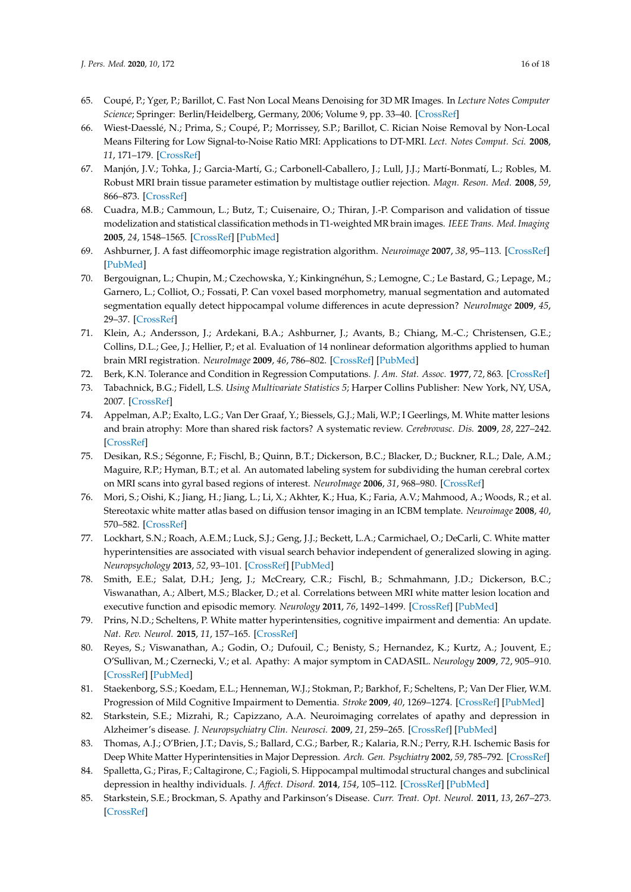- <span id="page-15-0"></span>65. Coupé, P.; Yger, P.; Barillot, C. Fast Non Local Means Denoising for 3D MR Images. In *Lecture Notes Computer Science*; Springer: Berlin/Heidelberg, Germany, 2006; Volume 9, pp. 33–40. [\[CrossRef\]](http://dx.doi.org/10.1007/11866763_5)
- <span id="page-15-1"></span>66. Wiest-Daesslé, N.; Prima, S.; Coupé, P.; Morrissey, S.P.; Barillot, C. Rician Noise Removal by Non-Local Means Filtering for Low Signal-to-Noise Ratio MRI: Applications to DT-MRI. *Lect. Notes Comput. Sci.* **2008**, *11*, 171–179. [\[CrossRef\]](http://dx.doi.org/10.1007/978-3-540-85990-1_21)
- <span id="page-15-2"></span>67. Manjón, J.V.; Tohka, J.; Garcia-Martí, G.; Carbonell-Caballero, J.; Lull, J.J.; Martí-Bonmatí, L.; Robles, M. Robust MRI brain tissue parameter estimation by multistage outlier rejection. *Magn. Reson. Med.* **2008**, *59*, 866–873. [\[CrossRef\]](http://dx.doi.org/10.1002/mrm.21521)
- <span id="page-15-3"></span>68. Cuadra, M.B.; Cammoun, L.; Butz, T.; Cuisenaire, O.; Thiran, J.-P. Comparison and validation of tissue modelization and statistical classification methods in T1-weighted MR brain images. *IEEE Trans. Med. Imaging* **2005**, *24*, 1548–1565. [\[CrossRef\]](http://dx.doi.org/10.1109/TMI.2005.857652) [\[PubMed\]](http://www.ncbi.nlm.nih.gov/pubmed/16350916)
- <span id="page-15-4"></span>69. Ashburner, J. A fast diffeomorphic image registration algorithm. *Neuroimage* **2007**, *38*, 95–113. [\[CrossRef\]](http://dx.doi.org/10.1016/j.neuroimage.2007.07.007) [\[PubMed\]](http://www.ncbi.nlm.nih.gov/pubmed/17761438)
- 70. Bergouignan, L.; Chupin, M.; Czechowska, Y.; Kinkingnéhun, S.; Lemogne, C.; Le Bastard, G.; Lepage, M.; Garnero, L.; Colliot, O.; Fossati, P. Can voxel based morphometry, manual segmentation and automated segmentation equally detect hippocampal volume differences in acute depression? *NeuroImage* **2009**, *45*, 29–37. [\[CrossRef\]](http://dx.doi.org/10.1016/j.neuroimage.2008.11.006)
- <span id="page-15-5"></span>71. Klein, A.; Andersson, J.; Ardekani, B.A.; Ashburner, J.; Avants, B.; Chiang, M.-C.; Christensen, G.E.; Collins, D.L.; Gee, J.; Hellier, P.; et al. Evaluation of 14 nonlinear deformation algorithms applied to human brain MRI registration. *NeuroImage* **2009**, *46*, 786–802. [\[CrossRef\]](http://dx.doi.org/10.1016/j.neuroimage.2008.12.037) [\[PubMed\]](http://www.ncbi.nlm.nih.gov/pubmed/19195496)
- <span id="page-15-6"></span>72. Berk, K.N. Tolerance and Condition in Regression Computations. *J. Am. Stat. Assoc.* **1977**, *72*, 863. [\[CrossRef\]](http://dx.doi.org/10.2307/2286476)
- <span id="page-15-7"></span>73. Tabachnick, B.G.; Fidell, L.S. *Using Multivariate Statistics 5*; Harper Collins Publisher: New York, NY, USA, 2007. [\[CrossRef\]](http://dx.doi.org/10.1037/022267)
- <span id="page-15-8"></span>74. Appelman, A.P.; Exalto, L.G.; Van Der Graaf, Y.; Biessels, G.J.; Mali, W.P.; I Geerlings, M. White matter lesions and brain atrophy: More than shared risk factors? A systematic review. *Cerebrovasc. Dis.* **2009**, *28*, 227–242. [\[CrossRef\]](http://dx.doi.org/10.1159/000226774)
- <span id="page-15-9"></span>75. Desikan, R.S.; Ségonne, F.; Fischl, B.; Quinn, B.T.; Dickerson, B.C.; Blacker, D.; Buckner, R.L.; Dale, A.M.; Maguire, R.P.; Hyman, B.T.; et al. An automated labeling system for subdividing the human cerebral cortex on MRI scans into gyral based regions of interest. *NeuroImage* **2006**, *31*, 968–980. [\[CrossRef\]](http://dx.doi.org/10.1016/j.neuroimage.2006.01.021)
- <span id="page-15-10"></span>76. Mori, S.; Oishi, K.; Jiang, H.; Jiang, L.; Li, X.; Akhter, K.; Hua, K.; Faria, A.V.; Mahmood, A.; Woods, R.; et al. Stereotaxic white matter atlas based on diffusion tensor imaging in an ICBM template. *Neuroimage* **2008**, *40*, 570–582. [\[CrossRef\]](http://dx.doi.org/10.1016/j.neuroimage.2007.12.035)
- <span id="page-15-11"></span>77. Lockhart, S.N.; Roach, A.E.M.; Luck, S.J.; Geng, J.J.; Beckett, L.A.; Carmichael, O.; DeCarli, C. White matter hyperintensities are associated with visual search behavior independent of generalized slowing in aging. *Neuropsychology* **2013**, *52*, 93–101. [\[CrossRef\]](http://dx.doi.org/10.1016/j.neuropsychologia.2013.10.011) [\[PubMed\]](http://www.ncbi.nlm.nih.gov/pubmed/24183716)
- <span id="page-15-12"></span>78. Smith, E.E.; Salat, D.H.; Jeng, J.; McCreary, C.R.; Fischl, B.; Schmahmann, J.D.; Dickerson, B.C.; Viswanathan, A.; Albert, M.S.; Blacker, D.; et al. Correlations between MRI white matter lesion location and executive function and episodic memory. *Neurology* **2011**, *76*, 1492–1499. [\[CrossRef\]](http://dx.doi.org/10.1212/WNL.0b013e318217e7c8) [\[PubMed\]](http://www.ncbi.nlm.nih.gov/pubmed/21518999)
- <span id="page-15-13"></span>79. Prins, N.D.; Scheltens, P. White matter hyperintensities, cognitive impairment and dementia: An update. *Nat. Rev. Neurol.* **2015**, *11*, 157–165. [\[CrossRef\]](http://dx.doi.org/10.1038/nrneurol.2015.10)
- <span id="page-15-14"></span>80. Reyes, S.; Viswanathan, A.; Godin, O.; Dufouil, C.; Benisty, S.; Hernandez, K.; Kurtz, A.; Jouvent, E.; O'Sullivan, M.; Czernecki, V.; et al. Apathy: A major symptom in CADASIL. *Neurology* **2009**, *72*, 905–910. [\[CrossRef\]](http://dx.doi.org/10.1212/01.wnl.0000344166.03470.f8) [\[PubMed\]](http://www.ncbi.nlm.nih.gov/pubmed/19273824)
- 81. Staekenborg, S.S.; Koedam, E.L.; Henneman, W.J.; Stokman, P.; Barkhof, F.; Scheltens, P.; Van Der Flier, W.M. Progression of Mild Cognitive Impairment to Dementia. *Stroke* **2009**, *40*, 1269–1274. [\[CrossRef\]](http://dx.doi.org/10.1161/STROKEAHA.108.531343) [\[PubMed\]](http://www.ncbi.nlm.nih.gov/pubmed/19228848)
- <span id="page-15-15"></span>82. Starkstein, S.E.; Mizrahi, R.; Capizzano, A.A. Neuroimaging correlates of apathy and depression in Alzheimer's disease. *J. Neuropsychiatry Clin. Neurosci.* **2009**, *21*, 259–265. [\[CrossRef\]](http://dx.doi.org/10.1176/jnp.2009.21.3.259) [\[PubMed\]](http://www.ncbi.nlm.nih.gov/pubmed/19776304)
- <span id="page-15-16"></span>83. Thomas, A.J.; O'Brien, J.T.; Davis, S.; Ballard, C.G.; Barber, R.; Kalaria, R.N.; Perry, R.H. Ischemic Basis for Deep White Matter Hyperintensities in Major Depression. *Arch. Gen. Psychiatry* **2002**, *59*, 785–792. [\[CrossRef\]](http://dx.doi.org/10.1001/archpsyc.59.9.785)
- <span id="page-15-17"></span>84. Spalletta, G.; Piras, F.; Caltagirone, C.; Fagioli, S. Hippocampal multimodal structural changes and subclinical depression in healthy individuals. *J. A*ff*ect. Disord.* **2014**, *154*, 105–112. [\[CrossRef\]](http://dx.doi.org/10.1016/j.jad.2013.05.068) [\[PubMed\]](http://www.ncbi.nlm.nih.gov/pubmed/23800444)
- <span id="page-15-18"></span>85. Starkstein, S.E.; Brockman, S. Apathy and Parkinson's Disease. *Curr. Treat. Opt. Neurol.* **2011**, *13*, 267–273. [\[CrossRef\]](http://dx.doi.org/10.1007/s11940-011-0118-9)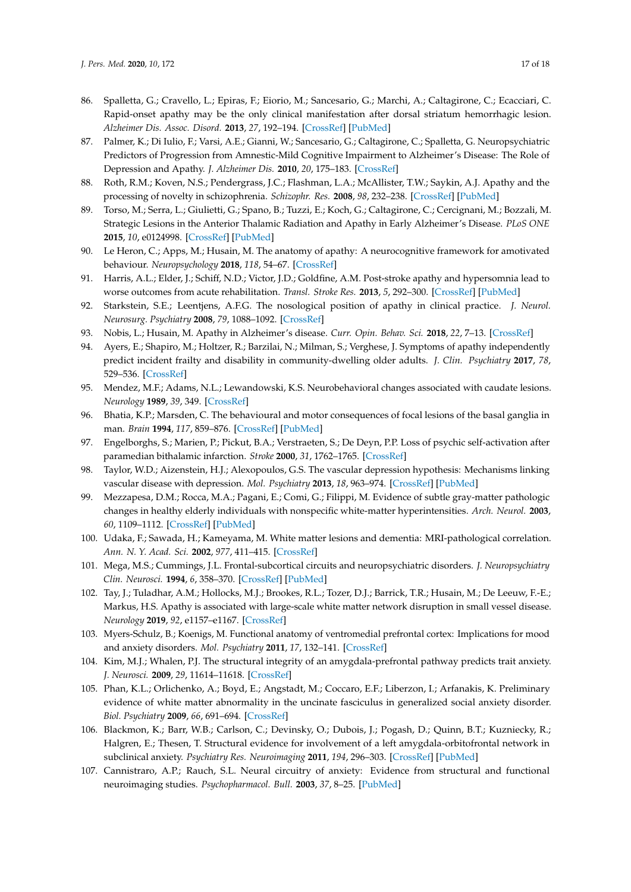- 86. Spalletta, G.; Cravello, L.; Epiras, F.; Eiorio, M.; Sancesario, G.; Marchi, A.; Caltagirone, C.; Ecacciari, C. Rapid-onset apathy may be the only clinical manifestation after dorsal striatum hemorrhagic lesion. *Alzheimer Dis. Assoc. Disord.* **2013**, *27*, 192–194. [\[CrossRef\]](http://dx.doi.org/10.1097/WAD.0b013e318260ab97) [\[PubMed\]](http://www.ncbi.nlm.nih.gov/pubmed/22760169)
- <span id="page-16-5"></span>87. Palmer, K.; Di Iulio, F.; Varsi, A.E.; Gianni, W.; Sancesario, G.; Caltagirone, C.; Spalletta, G. Neuropsychiatric Predictors of Progression from Amnestic-Mild Cognitive Impairment to Alzheimer's Disease: The Role of Depression and Apathy. *J. Alzheimer Dis.* **2010**, *20*, 175–183. [\[CrossRef\]](http://dx.doi.org/10.3233/JAD-2010-1352)
- 88. Roth, R.M.; Koven, N.S.; Pendergrass, J.C.; Flashman, L.A.; McAllister, T.W.; Saykin, A.J. Apathy and the processing of novelty in schizophrenia. *Schizophr. Res.* **2008**, *98*, 232–238. [\[CrossRef\]](http://dx.doi.org/10.1016/j.schres.2007.08.020) [\[PubMed\]](http://www.ncbi.nlm.nih.gov/pubmed/17884352)
- 89. Torso, M.; Serra, L.; Giulietti, G.; Spano, B.; Tuzzi, E.; Koch, G.; Caltagirone, C.; Cercignani, M.; Bozzali, M. Strategic Lesions in the Anterior Thalamic Radiation and Apathy in Early Alzheimer's Disease. *PLoS ONE* **2015**, *10*, e0124998. [\[CrossRef\]](http://dx.doi.org/10.1371/journal.pone.0124998) [\[PubMed\]](http://www.ncbi.nlm.nih.gov/pubmed/25932637)
- <span id="page-16-0"></span>90. Le Heron, C.; Apps, M.; Husain, M. The anatomy of apathy: A neurocognitive framework for amotivated behaviour. *Neuropsychology* **2018**, *118*, 54–67. [\[CrossRef\]](http://dx.doi.org/10.1016/j.neuropsychologia.2017.07.003)
- <span id="page-16-1"></span>91. Harris, A.L.; Elder, J.; Schiff, N.D.; Victor, J.D.; Goldfine, A.M. Post-stroke apathy and hypersomnia lead to worse outcomes from acute rehabilitation. *Transl. Stroke Res.* **2013**, *5*, 292–300. [\[CrossRef\]](http://dx.doi.org/10.1007/s12975-013-0293-y) [\[PubMed\]](http://www.ncbi.nlm.nih.gov/pubmed/24323716)
- <span id="page-16-2"></span>92. Starkstein, S.E.; Leentjens, A.F.G. The nosological position of apathy in clinical practice. *J. Neurol. Neurosurg. Psychiatry* **2008**, *79*, 1088–1092. [\[CrossRef\]](http://dx.doi.org/10.1136/jnnp.2007.136895)
- <span id="page-16-3"></span>93. Nobis, L.; Husain, M. Apathy in Alzheimer's disease. *Curr. Opin. Behav. Sci.* **2018**, *22*, 7–13. [\[CrossRef\]](http://dx.doi.org/10.1016/j.cobeha.2017.12.007)
- <span id="page-16-4"></span>94. Ayers, E.; Shapiro, M.; Holtzer, R.; Barzilai, N.; Milman, S.; Verghese, J. Symptoms of apathy independently predict incident frailty and disability in community-dwelling older adults. *J. Clin. Psychiatry* **2017**, *78*, 529–536. [\[CrossRef\]](http://dx.doi.org/10.4088/JCP.15m10113)
- <span id="page-16-6"></span>95. Mendez, M.F.; Adams, N.L.; Lewandowski, K.S. Neurobehavioral changes associated with caudate lesions. *Neurology* **1989**, *39*, 349. [\[CrossRef\]](http://dx.doi.org/10.1212/WNL.39.3.349)
- 96. Bhatia, K.P.; Marsden, C. The behavioural and motor consequences of focal lesions of the basal ganglia in man. *Brain* **1994**, *117*, 859–876. [\[CrossRef\]](http://dx.doi.org/10.1093/brain/117.4.859) [\[PubMed\]](http://www.ncbi.nlm.nih.gov/pubmed/7922471)
- <span id="page-16-7"></span>97. Engelborghs, S.; Marien, P.; Pickut, B.A.; Verstraeten, S.; De Deyn, P.P. Loss of psychic self-activation after paramedian bithalamic infarction. *Stroke* **2000**, *31*, 1762–1765. [\[CrossRef\]](http://dx.doi.org/10.1161/01.STR.31.7.1762)
- <span id="page-16-8"></span>98. Taylor, W.D.; Aizenstein, H.J.; Alexopoulos, G.S. The vascular depression hypothesis: Mechanisms linking vascular disease with depression. *Mol. Psychiatry* **2013**, *18*, 963–974. [\[CrossRef\]](http://dx.doi.org/10.1038/mp.2013.20) [\[PubMed\]](http://www.ncbi.nlm.nih.gov/pubmed/23439482)
- <span id="page-16-9"></span>99. Mezzapesa, D.M.; Rocca, M.A.; Pagani, E.; Comi, G.; Filippi, M. Evidence of subtle gray-matter pathologic changes in healthy elderly individuals with nonspecific white-matter hyperintensities. *Arch. Neurol.* **2003**, *60*, 1109–1112. [\[CrossRef\]](http://dx.doi.org/10.1001/archneur.60.8.1109) [\[PubMed\]](http://www.ncbi.nlm.nih.gov/pubmed/12925367)
- <span id="page-16-10"></span>100. Udaka, F.; Sawada, H.; Kameyama, M. White matter lesions and dementia: MRI-pathological correlation. *Ann. N. Y. Acad. Sci.* **2002**, *977*, 411–415. [\[CrossRef\]](http://dx.doi.org/10.1111/j.1749-6632.2002.tb04845.x)
- <span id="page-16-11"></span>101. Mega, M.S.; Cummings, J.L. Frontal-subcortical circuits and neuropsychiatric disorders. *J. Neuropsychiatry Clin. Neurosci.* **1994**, *6*, 358–370. [\[CrossRef\]](http://dx.doi.org/10.1176/jnp.6.4.358) [\[PubMed\]](http://www.ncbi.nlm.nih.gov/pubmed/7841807)
- <span id="page-16-12"></span>102. Tay, J.; Tuladhar, A.M.; Hollocks, M.J.; Brookes, R.L.; Tozer, D.J.; Barrick, T.R.; Husain, M.; De Leeuw, F.-E.; Markus, H.S. Apathy is associated with large-scale white matter network disruption in small vessel disease. *Neurology* **2019**, *92*, e1157–e1167. [\[CrossRef\]](http://dx.doi.org/10.1212/WNL.0000000000007095)
- <span id="page-16-13"></span>103. Myers-Schulz, B.; Koenigs, M. Functional anatomy of ventromedial prefrontal cortex: Implications for mood and anxiety disorders. *Mol. Psychiatry* **2011**, *17*, 132–141. [\[CrossRef\]](http://dx.doi.org/10.1038/mp.2011.88)
- <span id="page-16-14"></span>104. Kim, M.J.; Whalen, P.J. The structural integrity of an amygdala-prefrontal pathway predicts trait anxiety. *J. Neurosci.* **2009**, *29*, 11614–11618. [\[CrossRef\]](http://dx.doi.org/10.1523/JNEUROSCI.2335-09.2009)
- 105. Phan, K.L.; Orlichenko, A.; Boyd, E.; Angstadt, M.; Coccaro, E.F.; Liberzon, I.; Arfanakis, K. Preliminary evidence of white matter abnormality in the uncinate fasciculus in generalized social anxiety disorder. *Biol. Psychiatry* **2009**, *66*, 691–694. [\[CrossRef\]](http://dx.doi.org/10.1016/j.biopsych.2009.02.028)
- <span id="page-16-15"></span>106. Blackmon, K.; Barr, W.B.; Carlson, C.; Devinsky, O.; Dubois, J.; Pogash, D.; Quinn, B.T.; Kuzniecky, R.; Halgren, E.; Thesen, T. Structural evidence for involvement of a left amygdala-orbitofrontal network in subclinical anxiety. *Psychiatry Res. Neuroimaging* **2011**, *194*, 296–303. [\[CrossRef\]](http://dx.doi.org/10.1016/j.pscychresns.2011.05.007) [\[PubMed\]](http://www.ncbi.nlm.nih.gov/pubmed/21803551)
- <span id="page-16-16"></span>107. Cannistraro, A.P.; Rauch, S.L. Neural circuitry of anxiety: Evidence from structural and functional neuroimaging studies. *Psychopharmacol. Bull.* **2003**, *37*, 8–25. [\[PubMed\]](http://www.ncbi.nlm.nih.gov/pubmed/15131515)